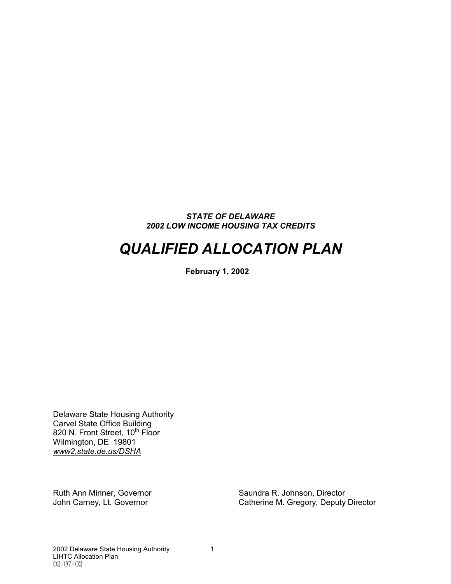#### *STATE OF DELAWARE 2002 LOW INCOME HOUSING TAX CREDITS*

# *QUALIFIED ALLOCATION PLAN*

**February 1, 2002**

Delaware State Housing Authority Carvel State Office Building 820 N. Front Street, 10<sup>th</sup> Floor Wilmington, DE 19801 *www2.state.de.us/DSHA*

Ruth Ann Minner, Governor Saundra R. Johnson, Director<br>
John Carney, Lt. Governor Saundra R. Gregory, Deputy Catherine M. Gregory, Deputy Director

2002 Delaware State Housing Authority 1 LIHTC Allocation Plan 02/07/02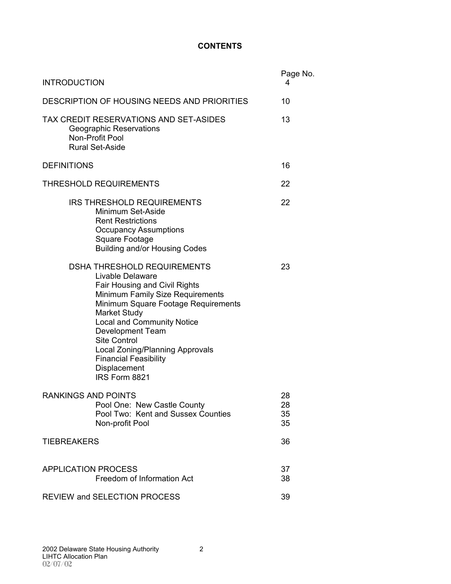### **CONTENTS**

| <b>INTRODUCTION</b>                                                                                                                                                                                                                                                                                                                                                                  | Page No.<br>4        |  |  |  |  |
|--------------------------------------------------------------------------------------------------------------------------------------------------------------------------------------------------------------------------------------------------------------------------------------------------------------------------------------------------------------------------------------|----------------------|--|--|--|--|
| DESCRIPTION OF HOUSING NEEDS AND PRIORITIES                                                                                                                                                                                                                                                                                                                                          |                      |  |  |  |  |
| TAX CREDIT RESERVATIONS AND SET-ASIDES<br>Geographic Reservations<br>Non-Profit Pool<br><b>Rural Set-Aside</b>                                                                                                                                                                                                                                                                       |                      |  |  |  |  |
| <b>DEFINITIONS</b>                                                                                                                                                                                                                                                                                                                                                                   | 16                   |  |  |  |  |
| <b>THRESHOLD REQUIREMENTS</b>                                                                                                                                                                                                                                                                                                                                                        | 22                   |  |  |  |  |
| <b>IRS THRESHOLD REQUIREMENTS</b><br>Minimum Set-Aside<br><b>Rent Restrictions</b><br><b>Occupancy Assumptions</b><br>Square Footage<br><b>Building and/or Housing Codes</b>                                                                                                                                                                                                         | 22                   |  |  |  |  |
| <b>DSHA THRESHOLD REQUIREMENTS</b><br>Livable Delaware<br>Fair Housing and Civil Rights<br>Minimum Family Size Requirements<br>Minimum Square Footage Requirements<br>Market Study<br><b>Local and Community Notice</b><br><b>Development Team</b><br><b>Site Control</b><br><b>Local Zoning/Planning Approvals</b><br><b>Financial Feasibility</b><br>Displacement<br>IRS Form 8821 | 23                   |  |  |  |  |
| <b>RANKINGS AND POINTS</b><br>Pool One: New Castle County<br>Pool Two: Kent and Sussex Counties<br>Non-profit Pool                                                                                                                                                                                                                                                                   | 28<br>28<br>35<br>35 |  |  |  |  |
| <b>TIEBREAKERS</b>                                                                                                                                                                                                                                                                                                                                                                   | 36                   |  |  |  |  |
| <b>APPLICATION PROCESS</b><br>Freedom of Information Act                                                                                                                                                                                                                                                                                                                             | 37<br>38             |  |  |  |  |
| <b>REVIEW and SELECTION PROCESS</b>                                                                                                                                                                                                                                                                                                                                                  | 39                   |  |  |  |  |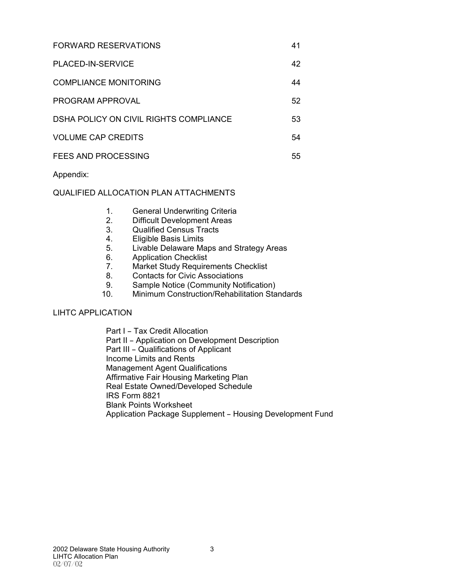| <b>FORWARD RESERVATIONS</b> |  |
|-----------------------------|--|
|                             |  |

PLACED-IN-SERVICE 42 COMPLIANCE MONITORING 44

| PROGRAM APPROVAL | 52 |
|------------------|----|
|                  |    |

- DSHA POLICY ON CIVIL RIGHTS COMPLIANCE 53
- VOLUME CAP CREDITS 54
- FEES AND PROCESSING 55

Appendix:

# QUALIFIED ALLOCATION PLAN ATTACHMENTS

- 1. General Underwriting Criteria
- 2. Difficult Development Areas
- 3. Qualified Census Tracts
- 4. Eligible Basis Limits
- 5. Livable Delaware Maps and Strategy Areas
- 6. Application Checklist
- 7. Market Study Requirements Checklist
- 8. Contacts for Civic Associations
- 9. Sample Notice (Community Notification)
- 10. Minimum Construction/Rehabilitation Standards

# LIHTC APPLICATION

Part I - Tax Credit Allocation Part II - Application on Development Description Part III - Qualifications of Applicant Income Limits and Rents Management Agent Qualifications Affirmative Fair Housing Marketing Plan Real Estate Owned/Developed Schedule IRS Form 8821 Blank Points Worksheet Application Package Supplement - Housing Development Fund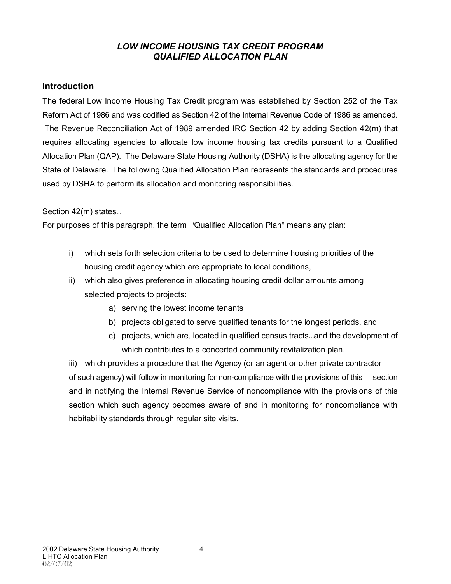# *LOW INCOME HOUSING TAX CREDIT PROGRAM QUALIFIED ALLOCATION PLAN*

# **Introduction**

The federal Low Income Housing Tax Credit program was established by Section 252 of the Tax Reform Act of 1986 and was codified as Section 42 of the Internal Revenue Code of 1986 as amended. The Revenue Reconciliation Act of 1989 amended IRC Section 42 by adding Section 42(m) that requires allocating agencies to allocate low income housing tax credits pursuant to a Qualified Allocation Plan (QAP). The Delaware State Housing Authority (DSHA) is the allocating agency for the State of Delaware. The following Qualified Allocation Plan represents the standards and procedures used by DSHA to perform its allocation and monitoring responsibilities.

### Section 42(m) states...

For purposes of this paragraph, the term "Qualified Allocation Plan" means any plan:

- i) which sets forth selection criteria to be used to determine housing priorities of the housing credit agency which are appropriate to local conditions,
- ii) which also gives preference in allocating housing credit dollar amounts among selected projects to projects:
	- a) serving the lowest income tenants
	- b) projects obligated to serve qualified tenants for the longest periods, and
	- c) projects, which are, located in qualified census tracts...and the development of which contributes to a concerted community revitalization plan.

iii) which provides a procedure that the Agency (or an agent or other private contractor of such agency) will follow in monitoring for non-compliance with the provisions of this section and in notifying the Internal Revenue Service of noncompliance with the provisions of this section which such agency becomes aware of and in monitoring for noncompliance with habitability standards through regular site visits.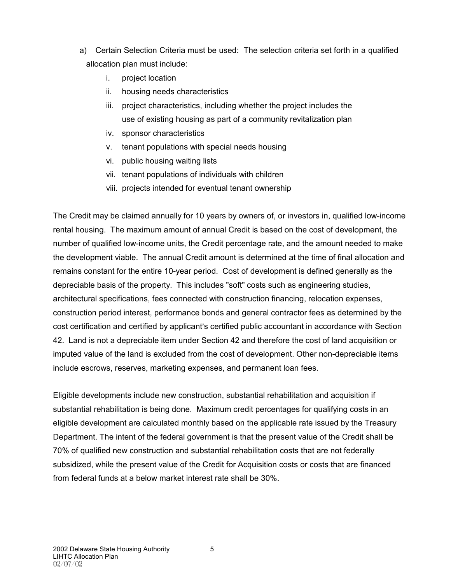- a) Certain Selection Criteria must be used: The selection criteria set forth in a qualified allocation plan must include:
	- i. project location
	- ii. housing needs characteristics
	- iii. project characteristics, including whether the project includes the use of existing housing as part of a community revitalization plan
	- iv. sponsor characteristics
	- v. tenant populations with special needs housing
	- vi. public housing waiting lists
	- vii. tenant populations of individuals with children
	- viii. projects intended for eventual tenant ownership

The Credit may be claimed annually for 10 years by owners of, or investors in, qualified low-income rental housing. The maximum amount of annual Credit is based on the cost of development, the number of qualified low-income units, the Credit percentage rate, and the amount needed to make the development viable. The annual Credit amount is determined at the time of final allocation and remains constant for the entire 10-year period. Cost of development is defined generally as the depreciable basis of the property. This includes "soft" costs such as engineering studies, architectural specifications, fees connected with construction financing, relocation expenses, construction period interest, performance bonds and general contractor fees as determined by the cost certification and certified by applicant's certified public accountant in accordance with Section 42. Land is not a depreciable item under Section 42 and therefore the cost of land acquisition or imputed value of the land is excluded from the cost of development. Other non-depreciable items include escrows, reserves, marketing expenses, and permanent loan fees.

Eligible developments include new construction, substantial rehabilitation and acquisition if substantial rehabilitation is being done. Maximum credit percentages for qualifying costs in an eligible development are calculated monthly based on the applicable rate issued by the Treasury Department. The intent of the federal government is that the present value of the Credit shall be 70% of qualified new construction and substantial rehabilitation costs that are not federally subsidized, while the present value of the Credit for Acquisition costs or costs that are financed from federal funds at a below market interest rate shall be 30%.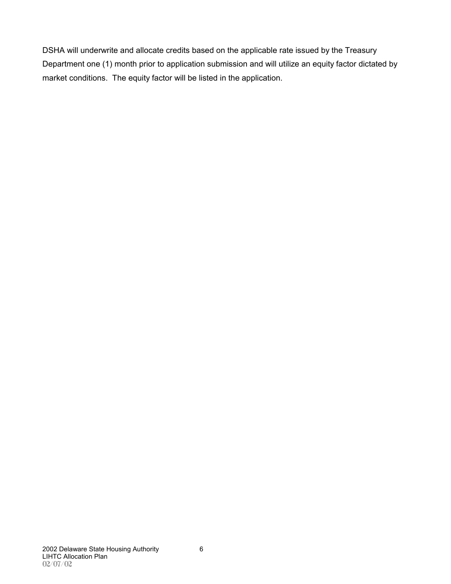DSHA will underwrite and allocate credits based on the applicable rate issued by the Treasury Department one (1) month prior to application submission and will utilize an equity factor dictated by market conditions. The equity factor will be listed in the application.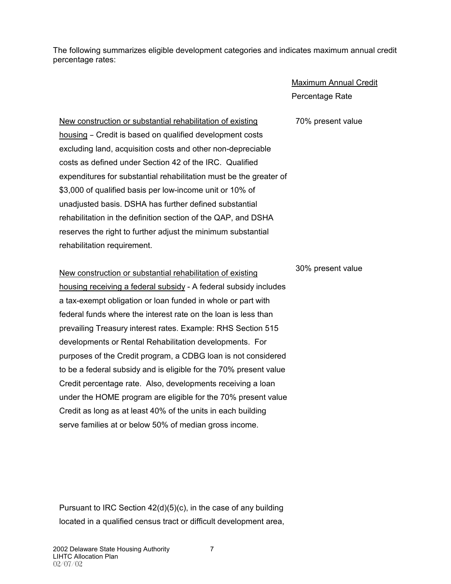The following summarizes eligible development categories and indicates maximum annual credit percentage rates:

> Maximum Annual Credit Percentage Rate

70% present value

New construction or substantial rehabilitation of existing housing – Credit is based on qualified development costs excluding land, acquisition costs and other non-depreciable costs as defined under Section 42 of the IRC. Qualified expenditures for substantial rehabilitation must be the greater of \$3,000 of qualified basis per low-income unit or 10% of unadjusted basis. DSHA has further defined substantial rehabilitation in the definition section of the QAP, and DSHA reserves the right to further adjust the minimum substantial rehabilitation requirement.

New construction or substantial rehabilitation of existing housing receiving a federal subsidy - A federal subsidy includes a tax-exempt obligation or loan funded in whole or part with federal funds where the interest rate on the loan is less than prevailing Treasury interest rates. Example: RHS Section 515 developments or Rental Rehabilitation developments. For purposes of the Credit program, a CDBG loan is not considered to be a federal subsidy and is eligible for the 70% present value Credit percentage rate. Also, developments receiving a loan under the HOME program are eligible for the 70% present value Credit as long as at least 40% of the units in each building serve families at or below 50% of median gross income.

30% present value

Pursuant to IRC Section 42(d)(5)(c), in the case of any building located in a qualified census tract or difficult development area,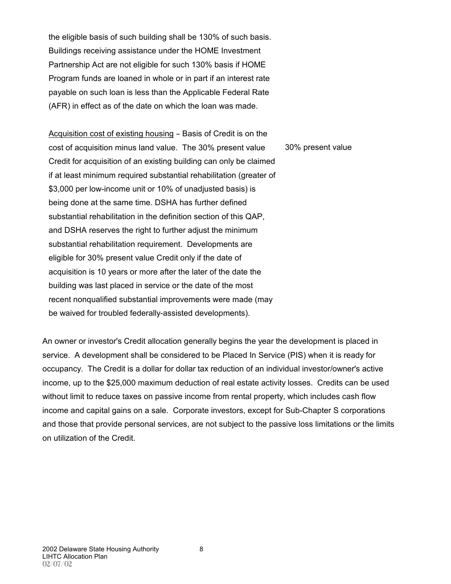the eligible basis of such building shall be 130% of such basis. Buildings receiving assistance under the HOME Investment Partnership Act are not eligible for such 130% basis if HOME Program funds are loaned in whole or in part if an interest rate payable on such loan is less than the Applicable Federal Rate (AFR) in effect as of the date on which the loan was made.

Acquisition cost of existing housing - Basis of Credit is on the cost of acquisition minus land value. The 30% present value Credit for acquisition of an existing building can only be claimed if at least minimum required substantial rehabilitation (greater of \$3,000 per low-income unit or 10% of unadjusted basis) is being done at the same time. DSHA has further defined substantial rehabilitation in the definition section of this QAP, and DSHA reserves the right to further adjust the minimum substantial rehabilitation requirement. Developments are eligible for 30% present value Credit only if the date of acquisition is 10 years or more after the later of the date the building was last placed in service or the date of the most recent nonqualified substantial improvements were made (may be waived for troubled federally-assisted developments). 30% present value

An owner or investor's Credit allocation generally begins the year the development is placed in service. A development shall be considered to be Placed In Service (PIS) when it is ready for occupancy. The Credit is a dollar for dollar tax reduction of an individual investor/owner's active income, up to the \$25,000 maximum deduction of real estate activity losses. Credits can be used without limit to reduce taxes on passive income from rental property, which includes cash flow income and capital gains on a sale. Corporate investors, except for Sub-Chapter S corporations and those that provide personal services, are not subject to the passive loss limitations or the limits on utilization of the Credit.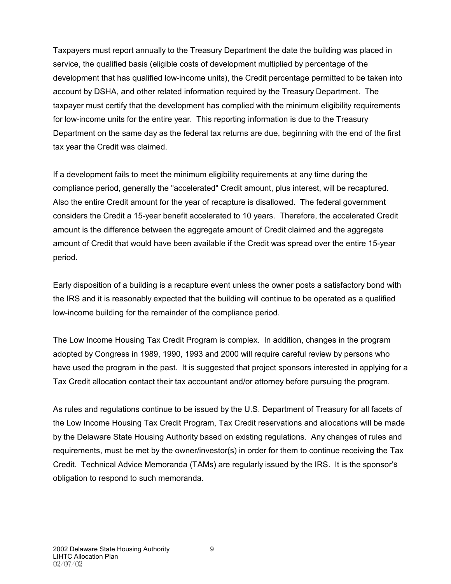Taxpayers must report annually to the Treasury Department the date the building was placed in service, the qualified basis (eligible costs of development multiplied by percentage of the development that has qualified low-income units), the Credit percentage permitted to be taken into account by DSHA, and other related information required by the Treasury Department. The taxpayer must certify that the development has complied with the minimum eligibility requirements for low-income units for the entire year. This reporting information is due to the Treasury Department on the same day as the federal tax returns are due, beginning with the end of the first tax year the Credit was claimed.

If a development fails to meet the minimum eligibility requirements at any time during the compliance period, generally the "accelerated" Credit amount, plus interest, will be recaptured. Also the entire Credit amount for the year of recapture is disallowed. The federal government considers the Credit a 15-year benefit accelerated to 10 years. Therefore, the accelerated Credit amount is the difference between the aggregate amount of Credit claimed and the aggregate amount of Credit that would have been available if the Credit was spread over the entire 15-year period.

Early disposition of a building is a recapture event unless the owner posts a satisfactory bond with the IRS and it is reasonably expected that the building will continue to be operated as a qualified low-income building for the remainder of the compliance period.

The Low Income Housing Tax Credit Program is complex. In addition, changes in the program adopted by Congress in 1989, 1990, 1993 and 2000 will require careful review by persons who have used the program in the past. It is suggested that project sponsors interested in applying for a Tax Credit allocation contact their tax accountant and/or attorney before pursuing the program.

As rules and regulations continue to be issued by the U.S. Department of Treasury for all facets of the Low Income Housing Tax Credit Program, Tax Credit reservations and allocations will be made by the Delaware State Housing Authority based on existing regulations. Any changes of rules and requirements, must be met by the owner/investor(s) in order for them to continue receiving the Tax Credit. Technical Advice Memoranda (TAMs) are regularly issued by the IRS. It is the sponsor's obligation to respond to such memoranda.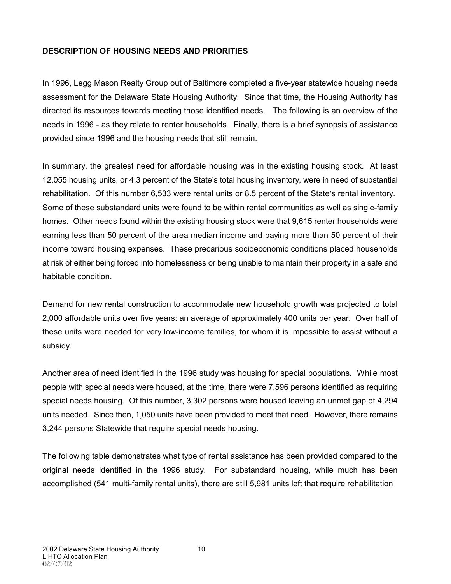# **DESCRIPTION OF HOUSING NEEDS AND PRIORITIES**

In 1996, Legg Mason Realty Group out of Baltimore completed a five-year statewide housing needs assessment for the Delaware State Housing Authority. Since that time, the Housing Authority has directed its resources towards meeting those identified needs. The following is an overview of the needs in 1996 - as they relate to renter households. Finally, there is a brief synopsis of assistance provided since 1996 and the housing needs that still remain.

In summary, the greatest need for affordable housing was in the existing housing stock. At least 12,055 housing units, or 4.3 percent of the State's total housing inventory, were in need of substantial rehabilitation. Of this number 6,533 were rental units or 8.5 percent of the State's rental inventory. Some of these substandard units were found to be within rental communities as well as single-family homes. Other needs found within the existing housing stock were that 9,615 renter households were earning less than 50 percent of the area median income and paying more than 50 percent of their income toward housing expenses. These precarious socioeconomic conditions placed households at risk of either being forced into homelessness or being unable to maintain their property in a safe and habitable condition.

Demand for new rental construction to accommodate new household growth was projected to total 2,000 affordable units over five years: an average of approximately 400 units per year. Over half of these units were needed for very low-income families, for whom it is impossible to assist without a subsidy.

Another area of need identified in the 1996 study was housing for special populations. While most people with special needs were housed, at the time, there were 7,596 persons identified as requiring special needs housing. Of this number, 3,302 persons were housed leaving an unmet gap of 4,294 units needed. Since then, 1,050 units have been provided to meet that need. However, there remains 3,244 persons Statewide that require special needs housing.

The following table demonstrates what type of rental assistance has been provided compared to the original needs identified in the 1996 study. For substandard housing, while much has been accomplished (541 multi-family rental units), there are still 5,981 units left that require rehabilitation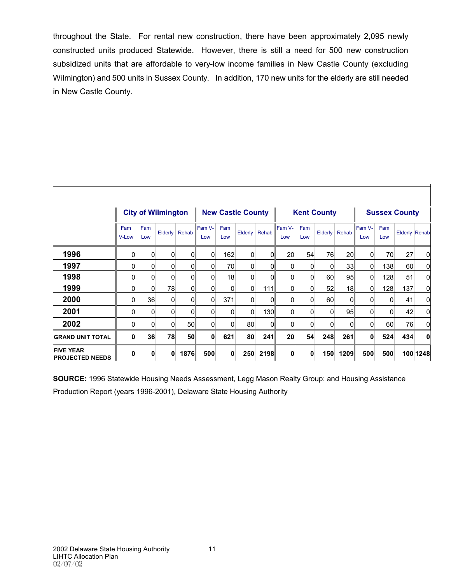throughout the State. For rental new construction, there have been approximately 2,095 newly constructed units produced Statewide. However, there is still a need for 500 new construction subsidized units that are affordable to very-low income families in New Castle County (excluding Wilmington) and 500 units in Sussex County. In addition, 170 new units for the elderly are still needed in New Castle County.

|                                            |              |            | <b>City of Wilmington</b> |                | <b>New Castle County</b> |            |          | <b>Kent County</b> |                 |            |                 | <b>Sussex County</b> |                |            |               |             |
|--------------------------------------------|--------------|------------|---------------------------|----------------|--------------------------|------------|----------|--------------------|-----------------|------------|-----------------|----------------------|----------------|------------|---------------|-------------|
|                                            | Fam<br>V-Low | Fam<br>Low | Elderly                   | Rehab          | Fam V-<br>Low            | Fam<br>Low | Elderly  | Rehab              | Fam V-<br>Low   | Fam<br>Low | Elderly         | Rehab                | Fam V-<br>Low  | Fam<br>Low | Elderly Rehab |             |
| 1996                                       | 0            | 0          | $\Omega$                  | $\Omega$       | $\overline{0}$           | 162        | 0        | 0                  | 20 <sup>°</sup> | 54         | 76              | 20 <sup>1</sup>      | $\overline{0}$ | 70         | 27            | 0           |
| 1997                                       | 0            | 0          | 0                         | $\overline{0}$ | $\Omega$                 | 70         | 0        | 0                  | 0               | 0          | $\Omega$        | 33 <sup>1</sup>      | 0              | 138        | 60            | 0           |
| 1998                                       | 0            | 0          | $\Omega$                  | 0              | 0                        | 18         | 0        | 0                  | 0               | 0          | 60              | 95                   | 0              | 128        | 51            | $\mathbf 0$ |
| 1999                                       | 0            | $\Omega$   | 78                        | 0              | 0                        | 0          | 0        | 111                | 0               | 0          | 52 <sub>2</sub> | 18                   | 0              | 128        | 137           | 0           |
| 2000                                       | 0            | 36         | 0                         | $\overline{0}$ | $\overline{0}$           | 371        | 0        | 0                  | 0               | 0          | 60              | $\Omega$             | 0              | 0          | 41            | 0           |
| 2001                                       | 0            | 0          | $\Omega$                  | $\Omega$       | 0                        | 0          | $\Omega$ | 130                | 0               | 0          | $\Omega$        | 95                   | $\Omega$       | O          | 42            | 0           |
| 2002                                       | $\mathbf{0}$ | 0          | $\Omega$                  | 50             | $\Omega$                 | 0          | 80       | 0                  | 0               | 0          | $\Omega$        | $\Omega$             | 0              | 60         | 76            | 0           |
| <b>GRAND UNIT TOTAL</b>                    | 0            | 36         | 78                        | 50             | $\bf{0}$                 | 621        | 80       | 241                | 20              | 54         | 248             | 261                  | 0              | 524        | 434           | $\mathbf 0$ |
| <b>FIVE YEAR</b><br><b>PROJECTED NEEDS</b> | 0            | 0          | 0                         | 1876           | 500                      | 0          | 250      | 2198               | 0               | 0          | 150             | 1209                 | 500            | 500        |               | 100 1248    |

**SOURCE:** 1996 Statewide Housing Needs Assessment, Legg Mason Realty Group; and Housing Assistance Production Report (years 1996-2001), Delaware State Housing Authority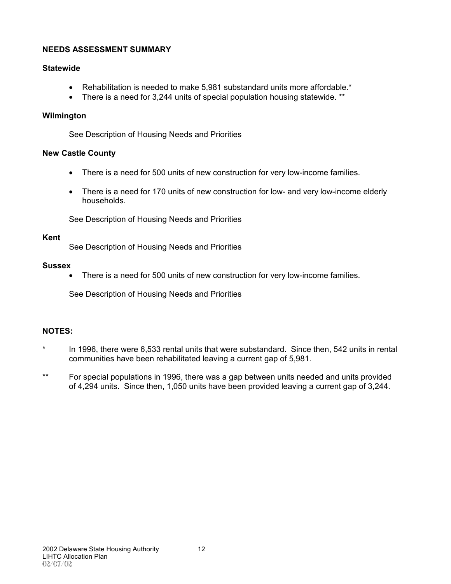### **NEEDS ASSESSMENT SUMMARY**

#### **Statewide**

- Rehabilitation is needed to make 5,981 substandard units more affordable.\*
- There is a need for 3,244 units of special population housing statewide. \*\*

#### **Wilmington**

See Description of Housing Needs and Priorities

#### **New Castle County**

- There is a need for 500 units of new construction for very low-income families.
- There is a need for 170 units of new construction for low- and very low-income elderly households.

See Description of Housing Needs and Priorities

#### **Kent**

See Description of Housing Needs and Priorities

#### **Sussex**

• There is a need for 500 units of new construction for very low-income families.

See Description of Housing Needs and Priorities

# **NOTES:**

- \* In 1996, there were 6,533 rental units that were substandard. Since then, 542 units in rental communities have been rehabilitated leaving a current gap of 5,981.
- \*\* For special populations in 1996, there was a gap between units needed and units provided of 4,294 units. Since then, 1,050 units have been provided leaving a current gap of 3,244.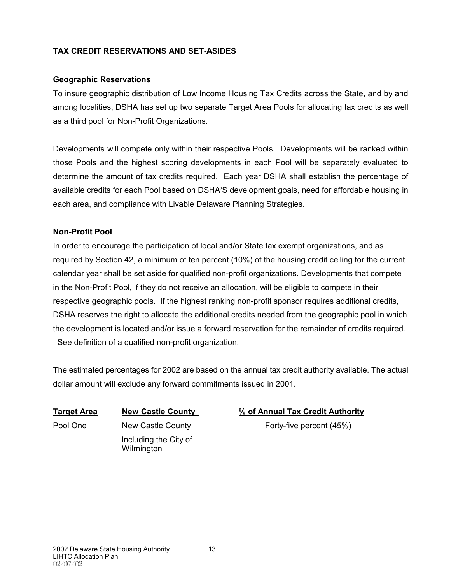# **TAX CREDIT RESERVATIONS AND SET-ASIDES**

### **Geographic Reservations**

To insure geographic distribution of Low Income Housing Tax Credits across the State, and by and among localities, DSHA has set up two separate Target Area Pools for allocating tax credits as well as a third pool for Non-Profit Organizations.

Developments will compete only within their respective Pools. Developments will be ranked within those Pools and the highest scoring developments in each Pool will be separately evaluated to determine the amount of tax credits required. Each year DSHA shall establish the percentage of available credits for each Pool based on DSHA'S development goals, need for affordable housing in each area, and compliance with Livable Delaware Planning Strategies.

### **Non-Profit Pool**

In order to encourage the participation of local and/or State tax exempt organizations, and as required by Section 42, a minimum of ten percent (10%) of the housing credit ceiling for the current calendar year shall be set aside for qualified non-profit organizations. Developments that compete in the Non-Profit Pool, if they do not receive an allocation, will be eligible to compete in their respective geographic pools. If the highest ranking non-profit sponsor requires additional credits, DSHA reserves the right to allocate the additional credits needed from the geographic pool in which the development is located and/or issue a forward reservation for the remainder of credits required. See definition of a qualified non-profit organization.

The estimated percentages for 2002 are based on the annual tax credit authority available. The actual dollar amount will exclude any forward commitments issued in 2001.

 Including the City of **Wilmington** 

# **Target Area New Castle County % of Annual Tax Credit Authority**

Pool One New Castle County Forty-five percent (45%)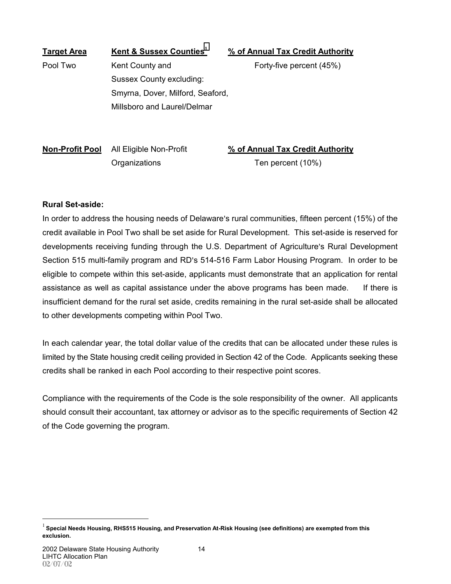| <b>Target Area</b> | Kent & Sussex Counties <sup>1</sup> | % of Annual Tax Credit Authority |
|--------------------|-------------------------------------|----------------------------------|
| Pool Two           | Kent County and                     | Forty-five percent (45%)         |
|                    | Sussex County excluding:            |                                  |
|                    | Smyrna, Dover, Milford, Seaford,    |                                  |
|                    | Millsboro and Laurel/Delmar         |                                  |
|                    |                                     |                                  |
|                    |                                     |                                  |

**Non-Profit Pool** All Eligible Non-Profit **% of Annual Tax Credit Authority** Organizations Ten percent (10%)

#### **Rural Set-aside:**

In order to address the housing needs of Delaware's rural communities, fifteen percent (15%) of the credit available in Pool Two shall be set aside for Rural Development. This set-aside is reserved for developments receiving funding through the U.S. Department of Agriculture's Rural Development Section 515 multi-family program and RD's 514-516 Farm Labor Housing Program. In order to be eligible to compete within this set-aside, applicants must demonstrate that an application for rental assistance as well as capital assistance under the above programs has been made. If there is insufficient demand for the rural set aside, credits remaining in the rural set-aside shall be allocated to other developments competing within Pool Two.

In each calendar year, the total dollar value of the credits that can be allocated under these rules is limited by the State housing credit ceiling provided in Section 42 of the Code. Applicants seeking these credits shall be ranked in each Pool according to their respective point scores.

Compliance with the requirements of the Code is the sole responsibility of the owner. All applicants should consult their accountant, tax attorney or advisor as to the specific requirements of Section 42 of the Code governing the program.

1

<sup>1</sup> **Special Needs Housing, RHS515 Housing, and Preservation At-Risk Housing (see definitions) are exempted from this exclusion.**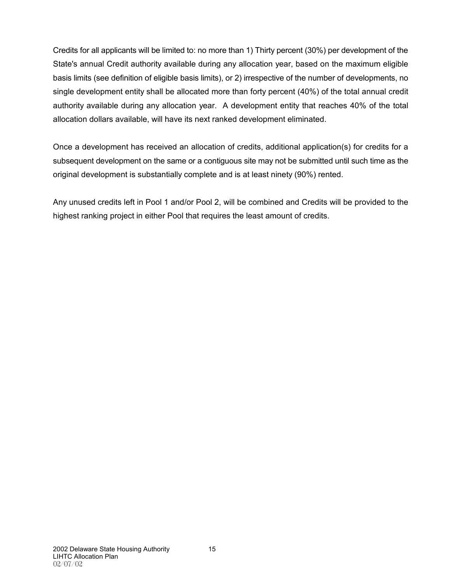Credits for all applicants will be limited to: no more than 1) Thirty percent (30%) per development of the State's annual Credit authority available during any allocation year, based on the maximum eligible basis limits (see definition of eligible basis limits), or 2) irrespective of the number of developments, no single development entity shall be allocated more than forty percent (40%) of the total annual credit authority available during any allocation year. A development entity that reaches 40% of the total allocation dollars available, will have its next ranked development eliminated.

Once a development has received an allocation of credits, additional application(s) for credits for a subsequent development on the same or a contiguous site may not be submitted until such time as the original development is substantially complete and is at least ninety (90%) rented.

Any unused credits left in Pool 1 and/or Pool 2, will be combined and Credits will be provided to the highest ranking project in either Pool that requires the least amount of credits.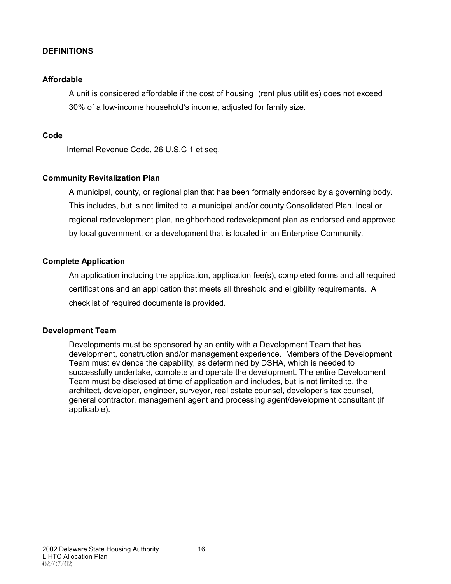### **DEFINITIONS**

#### **Affordable**

A unit is considered affordable if the cost of housing (rent plus utilities) does not exceed 30% of a low-income household's income, adjusted for family size.

#### **Code**

Internal Revenue Code, 26 U.S.C 1 et seq.

### **Community Revitalization Plan**

A municipal, county, or regional plan that has been formally endorsed by a governing body. This includes, but is not limited to, a municipal and/or county Consolidated Plan, local or regional redevelopment plan, neighborhood redevelopment plan as endorsed and approved by local government, or a development that is located in an Enterprise Community.

#### **Complete Application**

An application including the application, application fee(s), completed forms and all required certifications and an application that meets all threshold and eligibility requirements. A checklist of required documents is provided.

#### **Development Team**

Developments must be sponsored by an entity with a Development Team that has development, construction and/or management experience. Members of the Development Team must evidence the capability, as determined by DSHA, which is needed to successfully undertake, complete and operate the development. The entire Development Team must be disclosed at time of application and includes, but is not limited to, the architect, developer, engineer, surveyor, real estate counsel, developer's tax counsel, general contractor, management agent and processing agent/development consultant (if applicable).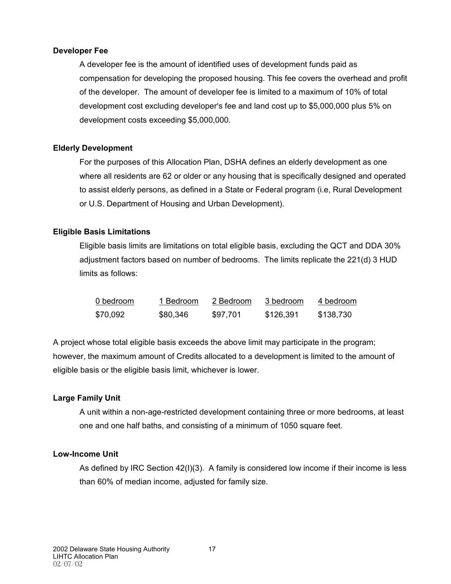#### **Developer Fee**

A developer fee is the amount of identified uses of development funds paid as compensation for developing the proposed housing. This fee covers the overhead and profit of the developer. The amount of developer fee is limited to a maximum of 10% of total development cost excluding developer's fee and land cost up to \$5,000,000 plus 5% on development costs exceeding \$5,000,000.

# **Elderly Development**

For the purposes of this Allocation Plan, DSHA defines an elderly development as one where all residents are 62 or older or any housing that is specifically designed and operated to assist elderly persons, as defined in a State or Federal program (i.e, Rural Development or U.S. Department of Housing and Urban Development).

### **Eligible Basis Limitations**

Eligible basis limits are limitations on total eligible basis, excluding the QCT and DDA 30% adjustment factors based on number of bedrooms. The limits replicate the 221(d) 3 HUD limits as follows:

| 0 bedroom | 1 Bedroom | 2 Bedroom | 3 bedroom | 4 bedroom |
|-----------|-----------|-----------|-----------|-----------|
| \$70,092  | \$80,346  | \$97,701  | \$126,391 | \$138,730 |

A project whose total eligible basis exceeds the above limit may participate in the program; however, the maximum amount of Credits allocated to a development is limited to the amount of eligible basis or the eligible basis limit, whichever is lower.

#### **Large Family Unit**

A unit within a non-age-restricted development containing three or more bedrooms, at least one and one half baths, and consisting of a minimum of 1050 square feet.

#### **Low-Income Unit**

As defined by IRC Section 42(I)(3). A family is considered low income if their income is less than 60% of median income, adjusted for family size.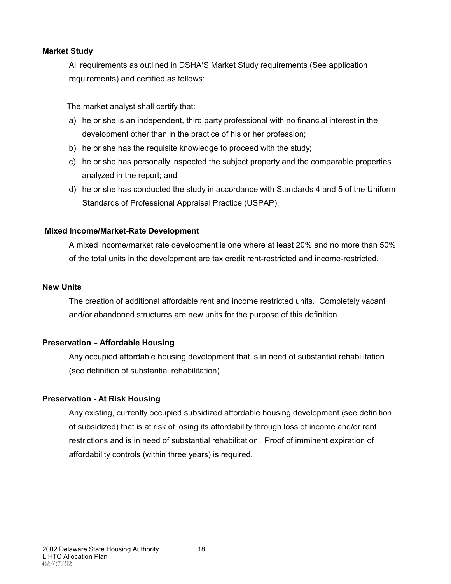#### **Market Study**

All requirements as outlined in DSHA'S Market Study requirements (See application requirements) and certified as follows:

The market analyst shall certify that:

- a) he or she is an independent, third party professional with no financial interest in the development other than in the practice of his or her profession;
- b) he or she has the requisite knowledge to proceed with the study;
- c) he or she has personally inspected the subject property and the comparable properties analyzed in the report; and
- d) he or she has conducted the study in accordance with Standards 4 and 5 of the Uniform Standards of Professional Appraisal Practice (USPAP).

### **Mixed Income/Market-Rate Development**

A mixed income/market rate development is one where at least 20% and no more than 50% of the total units in the development are tax credit rent-restricted and income-restricted.

#### **New Units**

The creation of additional affordable rent and income restricted units. Completely vacant and/or abandoned structures are new units for the purpose of this definition.

#### **Preservation - Affordable Housing**

Any occupied affordable housing development that is in need of substantial rehabilitation (see definition of substantial rehabilitation).

#### **Preservation - At Risk Housing**

Any existing, currently occupied subsidized affordable housing development (see definition of subsidized) that is at risk of losing its affordability through loss of income and/or rent restrictions and is in need of substantial rehabilitation. Proof of imminent expiration of affordability controls (within three years) is required.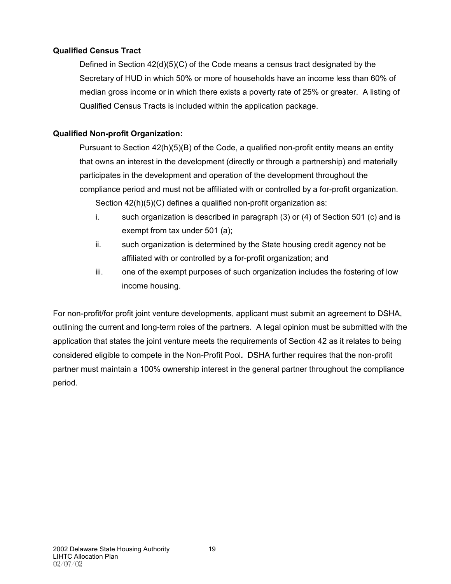# **Qualified Census Tract**

Defined in Section 42(d)(5)(C) of the Code means a census tract designated by the Secretary of HUD in which 50% or more of households have an income less than 60% of median gross income or in which there exists a poverty rate of 25% or greater. A listing of Qualified Census Tracts is included within the application package.

# **Qualified Non-profit Organization:**

Pursuant to Section 42(h)(5)(B) of the Code, a qualified non-profit entity means an entity that owns an interest in the development (directly or through a partnership) and materially participates in the development and operation of the development throughout the compliance period and must not be affiliated with or controlled by a for-profit organization. Section 42(h)(5)(C) defines a qualified non-profit organization as:

- i. such organization is described in paragraph (3) or (4) of Section 501 (c) and is exempt from tax under 501 (a);
- ii. such organization is determined by the State housing credit agency not be affiliated with or controlled by a for-profit organization; and
- iii. one of the exempt purposes of such organization includes the fostering of low income housing.

For non-profit/for profit joint venture developments, applicant must submit an agreement to DSHA, outlining the current and long-term roles of the partners. A legal opinion must be submitted with the application that states the joint venture meets the requirements of Section 42 as it relates to being considered eligible to compete in the Non-Profit Pool*.* DSHA further requires that the non-profit partner must maintain a 100% ownership interest in the general partner throughout the compliance period.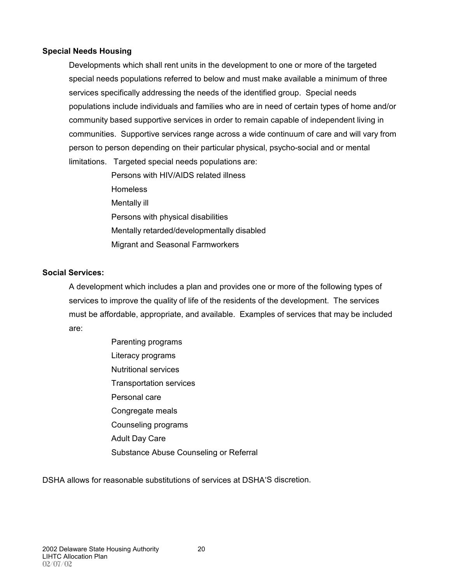### **Special Needs Housing**

Developments which shall rent units in the development to one or more of the targeted special needs populations referred to below and must make available a minimum of three services specifically addressing the needs of the identified group. Special needs populations include individuals and families who are in need of certain types of home and/or community based supportive services in order to remain capable of independent living in communities. Supportive services range across a wide continuum of care and will vary from person to person depending on their particular physical, psycho-social and or mental limitations. Targeted special needs populations are:

> Persons with HIV/AIDS related illness **Homeless** Mentally ill Persons with physical disabilities Mentally retarded/developmentally disabled Migrant and Seasonal Farmworkers

# **Social Services:**

A development which includes a plan and provides one or more of the following types of services to improve the quality of life of the residents of the development. The services must be affordable, appropriate, and available. Examples of services that may be included are:

> Parenting programs Literacy programs Nutritional services Transportation services Personal care Congregate meals Counseling programs Adult Day Care Substance Abuse Counseling or Referral

DSHA allows for reasonable substitutions of services at DSHA'S discretion.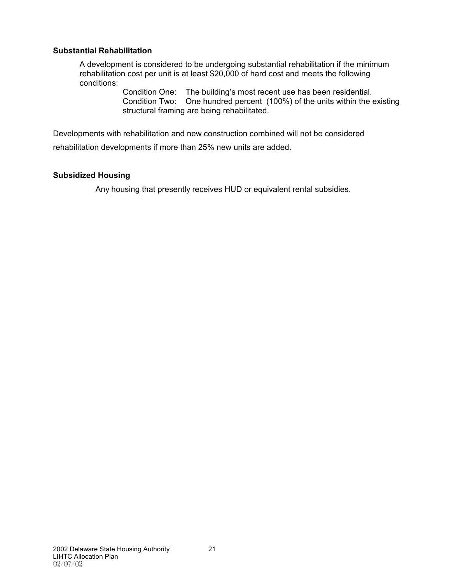#### **Substantial Rehabilitation**

A development is considered to be undergoing substantial rehabilitation if the minimum rehabilitation cost per unit is at least \$20,000 of hard cost and meets the following conditions:

> Condition One: The building's most recent use has been residential. Condition Two: One hundred percent (100%) of the units within the existing structural framing are being rehabilitated.

Developments with rehabilitation and new construction combined will not be considered

rehabilitation developments if more than 25% new units are added.

#### **Subsidized Housing**

Any housing that presently receives HUD or equivalent rental subsidies.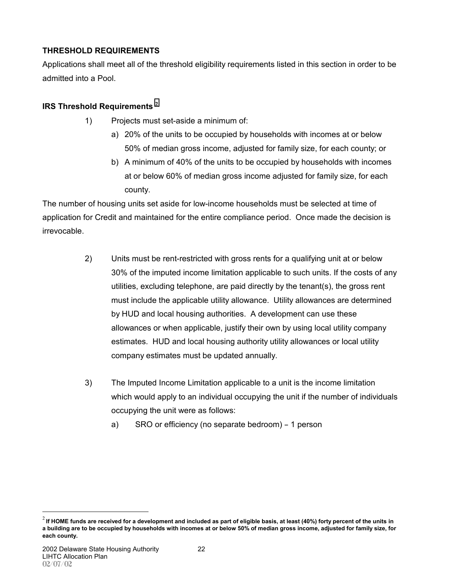# **THRESHOLD REQUIREMENTS**

Applications shall meet all of the threshold eligibility requirements listed in this section in order to be admitted into a Pool.

# **IRS Threshold Requirements** <sup>2</sup>

- 1) Projects must set-aside a minimum of:
	- a) 20% of the units to be occupied by households with incomes at or below 50% of median gross income, adjusted for family size, for each county; or
	- b) A minimum of 40% of the units to be occupied by households with incomes at or below 60% of median gross income adjusted for family size, for each county.

The number of housing units set aside for low-income households must be selected at time of application for Credit and maintained for the entire compliance period. Once made the decision is irrevocable.

- 2) Units must be rent-restricted with gross rents for a qualifying unit at or below 30% of the imputed income limitation applicable to such units. If the costs of any utilities, excluding telephone, are paid directly by the tenant(s), the gross rent must include the applicable utility allowance. Utility allowances are determined by HUD and local housing authorities. A development can use these allowances or when applicable, justify their own by using local utility company estimates. HUD and local housing authority utility allowances or local utility company estimates must be updated annually.
- 3) The Imputed Income Limitation applicable to a unit is the income limitation which would apply to an individual occupying the unit if the number of individuals occupying the unit were as follows:
	- a) SRO or efficiency (no separate bedroom) 1 person

1

<sup>2</sup> **If HOME funds are received for a development and included as part of eligible basis, at least (40%) forty percent of the units in a building are to be occupied by households with incomes at or below 50% of median gross income, adjusted for family size, for each county.**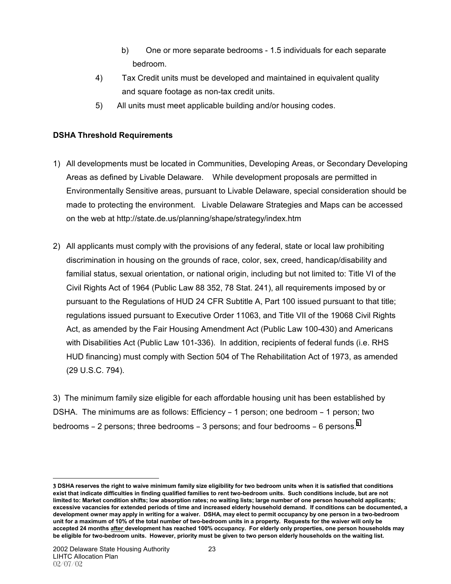- b) One or more separate bedrooms 1.5 individuals for each separate bedroom.
- 4) Tax Credit units must be developed and maintained in equivalent quality and square footage as non-tax credit units.
- 5) All units must meet applicable building and/or housing codes.

# **DSHA Threshold Requirements**

- 1) All developments must be located in Communities, Developing Areas, or Secondary Developing Areas as defined by Livable Delaware. While development proposals are permitted in Environmentally Sensitive areas, pursuant to Livable Delaware, special consideration should be made to protecting the environment. Livable Delaware Strategies and Maps can be accessed on the web at http://state.de.us/planning/shape/strategy/index.htm
- 2) All applicants must comply with the provisions of any federal, state or local law prohibiting discrimination in housing on the grounds of race, color, sex, creed, handicap/disability and familial status, sexual orientation, or national origin, including but not limited to: Title VI of the Civil Rights Act of 1964 (Public Law 88 352, 78 Stat. 241), all requirements imposed by or pursuant to the Regulations of HUD 24 CFR Subtitle A, Part 100 issued pursuant to that title; regulations issued pursuant to Executive Order 11063, and Title VII of the 19068 Civil Rights Act, as amended by the Fair Housing Amendment Act (Public Law 100-430) and Americans with Disabilities Act (Public Law 101-336). In addition, recipients of federal funds (i.e. RHS HUD financing) must comply with Section 504 of The Rehabilitation Act of 1973, as amended (29 U.S.C. 794).

3) The minimum family size eligible for each affordable housing unit has been established by DSHA. The minimums are as follows: Efficiency - 1 person; one bedroom - 1 person; two bedrooms  $-2$  persons; three bedrooms  $-3$  persons; and four bedrooms  $-6$  persons.<sup>3</sup>

 $\overline{a}$ 3 **DSHA reserves the right to waive minimum family size eligibility for two bedroom units when it is satisfied that conditions exist that indicate difficulties in finding qualified families to rent two-bedroom units. Such conditions include, but are not limited to: Market condition shifts; low absorption rates; no waiting lists; large number of one person household applicants; excessive vacancies for extended periods of time and increased elderly household demand. If conditions can be documented, a development owner may apply in writing for a waiver. DSHA, may elect to permit occupancy by one person in a two-bedroom unit for a maximum of 10% of the total number of two-bedroom units in a property. Requests for the waiver will only be accepted 24 months after development has reached 100% occupancy. For elderly only properties, one person households may be eligible for two-bedroom units. However, priority must be given to two person elderly households on the waiting list.**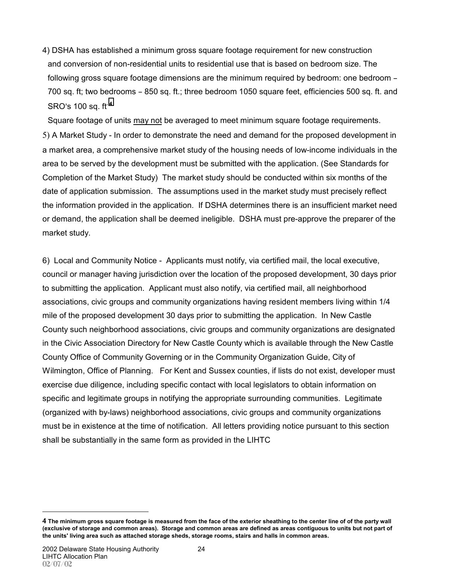4) DSHA has established a minimum gross square footage requirement for new construction and conversion of non-residential units to residential use that is based on bedroom size. The following gross square footage dimensions are the minimum required by bedroom: one bedroom -700 sq. ft; two bedrooms  $-850$  sq. ft.; three bedroom 1050 square feet, efficiencies 500 sq. ft. and SRO=s 100 sq. ft**.** <sup>4</sup>

Square footage of units may not be averaged to meet minimum square footage requirements. 5) A Market Study - In order to demonstrate the need and demand for the proposed development in a market area, a comprehensive market study of the housing needs of low-income individuals in the area to be served by the development must be submitted with the application. (See Standards for Completion of the Market Study) The market study should be conducted within six months of the date of application submission. The assumptions used in the market study must precisely reflect the information provided in the application. If DSHA determines there is an insufficient market need or demand, the application shall be deemed ineligible. DSHA must pre-approve the preparer of the market study.

6) Local and Community Notice - Applicants must notify, via certified mail, the local executive, council or manager having jurisdiction over the location of the proposed development, 30 days prior to submitting the application. Applicant must also notify, via certified mail, all neighborhood associations, civic groups and community organizations having resident members living within 1/4 mile of the proposed development 30 days prior to submitting the application. In New Castle County such neighborhood associations, civic groups and community organizations are designated in the Civic Association Directory for New Castle County which is available through the New Castle County Office of Community Governing or in the Community Organization Guide, City of Wilmington, Office of Planning. For Kent and Sussex counties, if lists do not exist, developer must exercise due diligence, including specific contact with local legislators to obtain information on specific and legitimate groups in notifying the appropriate surrounding communities. Legitimate (organized with by-laws) neighborhood associations, civic groups and community organizations must be in existence at the time of notification. All letters providing notice pursuant to this section shall be substantially in the same form as provided in the LIHTC

1

<sup>4</sup> **The minimum gross square footage is measured from the face of the exterior sheathing to the center line of of the party wall (exclusive of storage and common areas). Storage and common areas are defined as areas contiguous to units but not part of the units' living area such as attached storage sheds, storage rooms, stairs and halls in common areas.**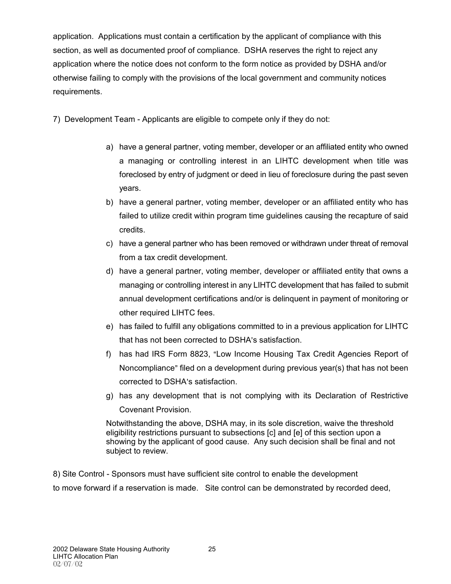application. Applications must contain a certification by the applicant of compliance with this section, as well as documented proof of compliance. DSHA reserves the right to reject any application where the notice does not conform to the form notice as provided by DSHA and/or otherwise failing to comply with the provisions of the local government and community notices requirements.

7) Development Team - Applicants are eligible to compete only if they do not:

- a) have a general partner, voting member, developer or an affiliated entity who owned a managing or controlling interest in an LIHTC development when title was foreclosed by entry of judgment or deed in lieu of foreclosure during the past seven years.
- b) have a general partner, voting member, developer or an affiliated entity who has failed to utilize credit within program time guidelines causing the recapture of said credits.
- c) have a general partner who has been removed or withdrawn under threat of removal from a tax credit development.
- d) have a general partner, voting member, developer or affiliated entity that owns a managing or controlling interest in any LIHTC development that has failed to submit annual development certifications and/or is delinquent in payment of monitoring or other required LIHTC fees.
- e) has failed to fulfill any obligations committed to in a previous application for LIHTC that has not been corrected to DSHA's satisfaction.
- f) has had IRS Form 8823, "Low Income Housing Tax Credit Agencies Report of Noncompliance" filed on a development during previous year(s) that has not been corrected to DSHA's satisfaction.
- g) has any development that is not complying with its Declaration of Restrictive Covenant Provision.

Notwithstanding the above, DSHA may, in its sole discretion, waive the threshold eligibility restrictions pursuant to subsections [c] and [e] of this section upon a showing by the applicant of good cause. Any such decision shall be final and not subject to review.

8) Site Control - Sponsors must have sufficient site control to enable the development to move forward if a reservation is made. Site control can be demonstrated by recorded deed,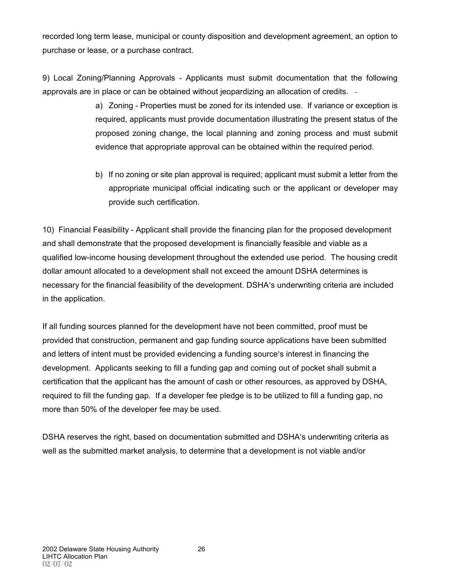recorded long term lease, municipal or county disposition and development agreement, an option to purchase or lease, or a purchase contract.

9) Local Zoning/Planning Approvals - Applicants must submit documentation that the following approvals are in place or can be obtained without jeopardizing an allocation of credits.

- a) Zoning Properties must be zoned for its intended use. If variance or exception is required, applicants must provide documentation illustrating the present status of the proposed zoning change, the local planning and zoning process and must submit evidence that appropriate approval can be obtained within the required period.
- b) If no zoning or site plan approval is required; applicant must submit a letter from the appropriate municipal official indicating such or the applicant or developer may provide such certification.

10) Financial Feasibility - Applicant shall provide the financing plan for the proposed development and shall demonstrate that the proposed development is financially feasible and viable as a qualified low-income housing development throughout the extended use period. The housing credit dollar amount allocated to a development shall not exceed the amount DSHA determines is necessary for the financial feasibility of the development. DSHA's underwriting criteria are included in the application.

If all funding sources planned for the development have not been committed, proof must be provided that construction, permanent and gap funding source applications have been submitted and letters of intent must be provided evidencing a funding source's interest in financing the development. Applicants seeking to fill a funding gap and coming out of pocket shall submit a certification that the applicant has the amount of cash or other resources, as approved by DSHA, required to fill the funding gap. If a developer fee pledge is to be utilized to fill a funding gap, no more than 50% of the developer fee may be used.

DSHA reserves the right, based on documentation submitted and DSHA's underwriting criteria as well as the submitted market analysis, to determine that a development is not viable and/or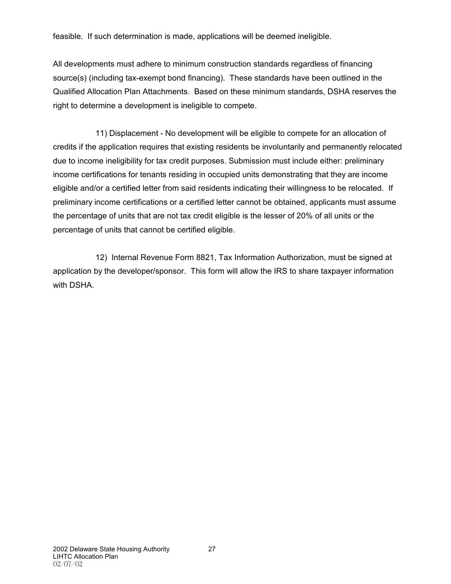feasible. If such determination is made, applications will be deemed ineligible.

All developments must adhere to minimum construction standards regardless of financing source(s) (including tax-exempt bond financing). These standards have been outlined in the Qualified Allocation Plan Attachments. Based on these minimum standards, DSHA reserves the right to determine a development is ineligible to compete.

11) Displacement - No development will be eligible to compete for an allocation of credits if the application requires that existing residents be involuntarily and permanently relocated due to income ineligibility for tax credit purposes. Submission must include either: preliminary income certifications for tenants residing in occupied units demonstrating that they are income eligible and/or a certified letter from said residents indicating their willingness to be relocated. If preliminary income certifications or a certified letter cannot be obtained, applicants must assume the percentage of units that are not tax credit eligible is the lesser of 20% of all units or the percentage of units that cannot be certified eligible.

12) Internal Revenue Form 8821, Tax Information Authorization, must be signed at application by the developer/sponsor. This form will allow the IRS to share taxpayer information with DSHA.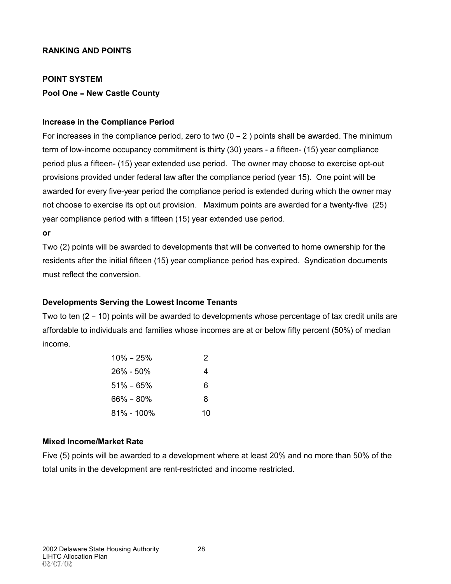#### **RANKING AND POINTS**

#### **POINT SYSTEM**

#### **Pool One - New Castle County**

#### **Increase in the Compliance Period**

For increases in the compliance period, zero to two  $(0 - 2)$  points shall be awarded. The minimum term of low-income occupancy commitment is thirty (30) years - a fifteen- (15) year compliance period plus a fifteen- (15) year extended use period. The owner may choose to exercise opt-out provisions provided under federal law after the compliance period (year 15). One point will be awarded for every five-year period the compliance period is extended during which the owner may not choose to exercise its opt out provision. Maximum points are awarded for a twenty-five (25) year compliance period with a fifteen (15) year extended use period.

#### **or**

Two (2) points will be awarded to developments that will be converted to home ownership for the residents after the initial fifteen (15) year compliance period has expired. Syndication documents must reflect the conversion.

#### **Developments Serving the Lowest Income Tenants**

Two to ten  $(2 - 10)$  points will be awarded to developments whose percentage of tax credit units are affordable to individuals and families whose incomes are at or below fifty percent (50%) of median income.

| $10\% - 25\%$ | 2  |
|---------------|----|
| $26\% - 50\%$ |    |
| $51\% - 65\%$ | 6  |
| $66\% - 80\%$ | 8  |
| 81% - 100%    | 10 |

### **Mixed Income/Market Rate**

Five (5) points will be awarded to a development where at least 20% and no more than 50% of the total units in the development are rent-restricted and income restricted.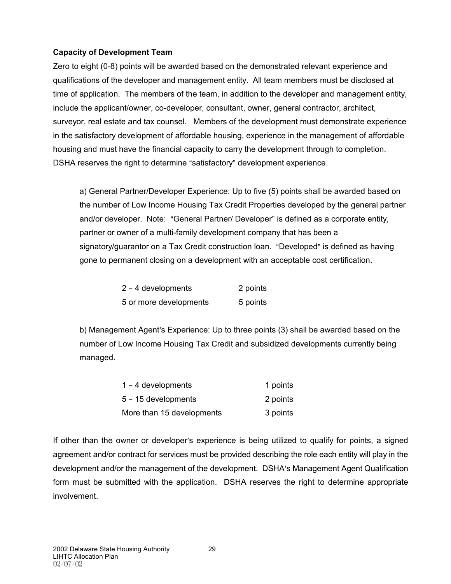# **Capacity of Development Team**

Zero to eight (0-8) points will be awarded based on the demonstrated relevant experience and qualifications of the developer and management entity. All team members must be disclosed at time of application. The members of the team, in addition to the developer and management entity, include the applicant/owner, co-developer, consultant, owner, general contractor, architect, surveyor, real estate and tax counsel. Members of the development must demonstrate experience in the satisfactory development of affordable housing, experience in the management of affordable housing and must have the financial capacity to carry the development through to completion. DSHA reserves the right to determine "satisfactory" development experience.

a) General Partner/Developer Experience: Up to five (5) points shall be awarded based on the number of Low Income Housing Tax Credit Properties developed by the general partner and/or developer. Note: "General Partner/ Developer" is defined as a corporate entity, partner or owner of a multi-family development company that has been a signatory/guarantor on a Tax Credit construction loan. "Developed" is defined as having gone to permanent closing on a development with an acceptable cost certification.

| $2 - 4$ developments   | 2 points |
|------------------------|----------|
| 5 or more developments | 5 points |

b) Management Agent's Experience: Up to three points (3) shall be awarded based on the number of Low Income Housing Tax Credit and subsidized developments currently being managed.

| $1 - 4$ developments      | 1 points |
|---------------------------|----------|
| $5 - 15$ developments     | 2 points |
| More than 15 developments | 3 points |

If other than the owner or developer's experience is being utilized to qualify for points, a signed agreement and/or contract for services must be provided describing the role each entity will play in the development and/or the management of the development. DSHA's Management Agent Qualification form must be submitted with the application. DSHA reserves the right to determine appropriate involvement.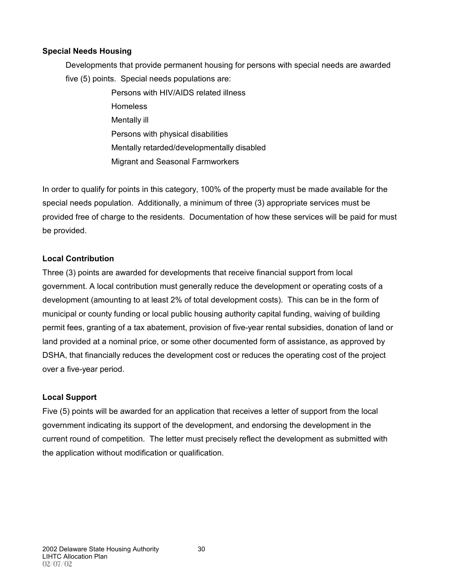# **Special Needs Housing**

Developments that provide permanent housing for persons with special needs are awarded five (5) points. Special needs populations are:

> Persons with HIV/AIDS related illness **Homeless** Mentally ill Persons with physical disabilities Mentally retarded/developmentally disabled Migrant and Seasonal Farmworkers

In order to qualify for points in this category, 100% of the property must be made available for the special needs population. Additionally, a minimum of three (3) appropriate services must be provided free of charge to the residents. Documentation of how these services will be paid for must be provided.

### **Local Contribution**

Three (3) points are awarded for developments that receive financial support from local government. A local contribution must generally reduce the development or operating costs of a development (amounting to at least 2% of total development costs). This can be in the form of municipal or county funding or local public housing authority capital funding, waiving of building permit fees, granting of a tax abatement, provision of five-year rental subsidies, donation of land or land provided at a nominal price, or some other documented form of assistance, as approved by DSHA, that financially reduces the development cost or reduces the operating cost of the project over a five-year period.

# **Local Support**

Five (5) points will be awarded for an application that receives a letter of support from the local government indicating its support of the development, and endorsing the development in the current round of competition. The letter must precisely reflect the development as submitted with the application without modification or qualification.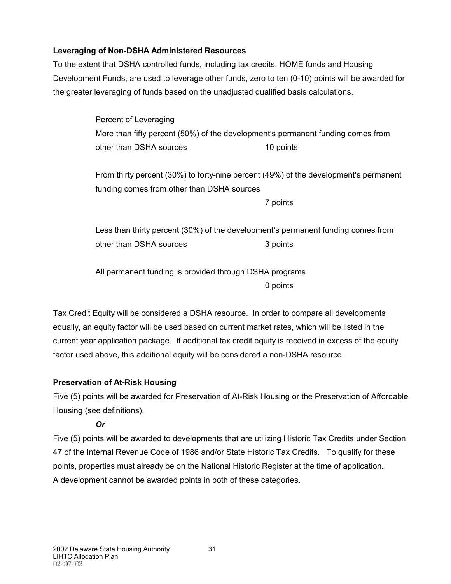# **Leveraging of Non-DSHA Administered Resources**

To the extent that DSHA controlled funds, including tax credits, HOME funds and Housing Development Funds, are used to leverage other funds, zero to ten (0-10) points will be awarded for the greater leveraging of funds based on the unadjusted qualified basis calculations.

> Percent of Leveraging More than fifty percent (50%) of the development's permanent funding comes from other than DSHA sources 10 points

From thirty percent (30%) to forty-nine percent (49%) of the development's permanent funding comes from other than DSHA sources

7 points

Less than thirty percent (30%) of the development's permanent funding comes from other than DSHA sources 3 points

All permanent funding is provided through DSHA programs 0 points

Tax Credit Equity will be considered a DSHA resource. In order to compare all developments equally, an equity factor will be used based on current market rates, which will be listed in the current year application package. If additional tax credit equity is received in excess of the equity factor used above, this additional equity will be considered a non-DSHA resource.

# **Preservation of At-Risk Housing**

Five (5) points will be awarded for Preservation of At-Risk Housing or the Preservation of Affordable Housing (see definitions).

# *Or*

Five (5) points will be awarded to developments that are utilizing Historic Tax Credits under Section 47 of the Internal Revenue Code of 1986 and/or State Historic Tax Credits. To qualify for these points, properties must already be on the National Historic Register at the time of application**.** A development cannot be awarded points in both of these categories.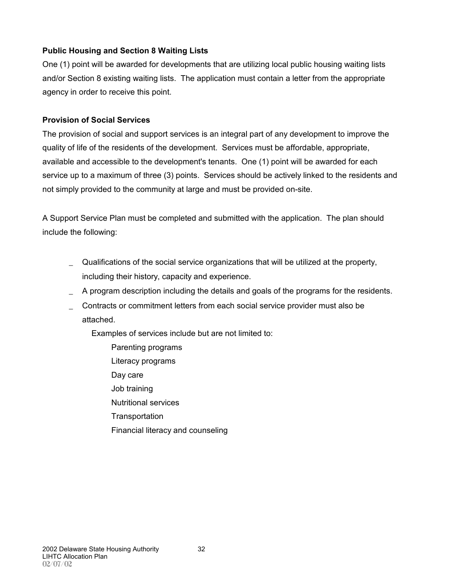# **Public Housing and Section 8 Waiting Lists**

One (1) point will be awarded for developments that are utilizing local public housing waiting lists and/or Section 8 existing waiting lists. The application must contain a letter from the appropriate agency in order to receive this point.

# **Provision of Social Services**

The provision of social and support services is an integral part of any development to improve the quality of life of the residents of the development. Services must be affordable, appropriate, available and accessible to the development's tenants. One (1) point will be awarded for each service up to a maximum of three (3) points. Services should be actively linked to the residents and not simply provided to the community at large and must be provided on-site.

A Support Service Plan must be completed and submitted with the application. The plan should include the following:

- \_ Qualifications of the social service organizations that will be utilized at the property, including their history, capacity and experience.
- \_ A program description including the details and goals of the programs for the residents.
- \_ Contracts or commitment letters from each social service provider must also be attached.

Examples of services include but are not limited to:

Parenting programs Literacy programs Day care Job training Nutritional services **Transportation** Financial literacy and counseling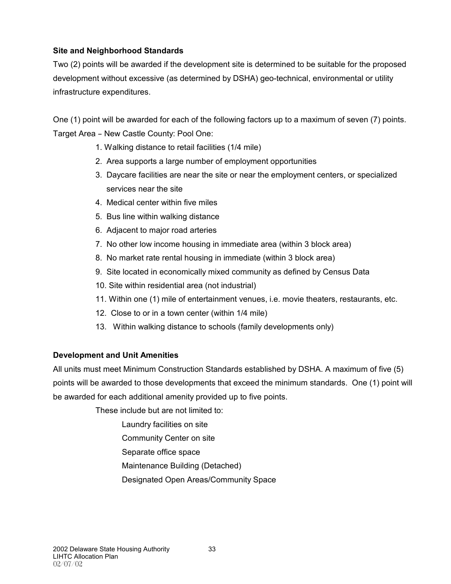# **Site and Neighborhood Standards**

Two (2) points will be awarded if the development site is determined to be suitable for the proposed development without excessive (as determined by DSHA) geo-technical, environmental or utility infrastructure expenditures.

One (1) point will be awarded for each of the following factors up to a maximum of seven (7) points. Target Area - New Castle County: Pool One:

- 1. Walking distance to retail facilities (1/4 mile)
- 2. Area supports a large number of employment opportunities
- 3. Daycare facilities are near the site or near the employment centers, or specialized services near the site
- 4. Medical center within five miles
- 5. Bus line within walking distance
- 6. Adjacent to major road arteries
- 7. No other low income housing in immediate area (within 3 block area)
- 8. No market rate rental housing in immediate (within 3 block area)
- 9. Site located in economically mixed community as defined by Census Data
- 10. Site within residential area (not industrial)
- 11. Within one (1) mile of entertainment venues, i.e. movie theaters, restaurants, etc.
- 12. Close to or in a town center (within 1/4 mile)
- 13. Within walking distance to schools (family developments only)

# **Development and Unit Amenities**

All units must meet Minimum Construction Standards established by DSHA. A maximum of five (5) points will be awarded to those developments that exceed the minimum standards. One (1) point will be awarded for each additional amenity provided up to five points.

These include but are not limited to:

- Laundry facilities on site
- Community Center on site
- Separate office space
- Maintenance Building (Detached)
- Designated Open Areas/Community Space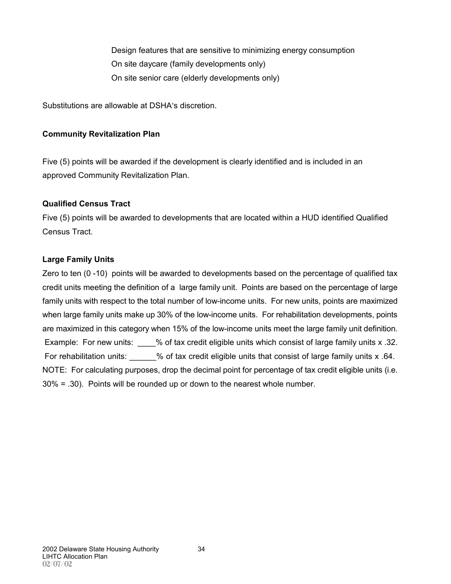Design features that are sensitive to minimizing energy consumption On site daycare (family developments only) On site senior care (elderly developments only)

Substitutions are allowable at DSHA's discretion.

### **Community Revitalization Plan**

Five (5) points will be awarded if the development is clearly identified and is included in an approved Community Revitalization Plan.

### **Qualified Census Tract**

Five (5) points will be awarded to developments that are located within a HUD identified Qualified Census Tract.

### **Large Family Units**

Zero to ten (0 -10) points will be awarded to developments based on the percentage of qualified tax credit units meeting the definition of a large family unit. Points are based on the percentage of large family units with respect to the total number of low-income units. For new units, points are maximized when large family units make up 30% of the low-income units. For rehabilitation developments, points are maximized in this category when 15% of the low-income units meet the large family unit definition. Example: For new units:  $\%$  of tax credit eligible units which consist of large family units x .32. For rehabilitation units:  $\%$  of tax credit eligible units that consist of large family units x .64. NOTE: For calculating purposes, drop the decimal point for percentage of tax credit eligible units (i.e. 30% = .30). Points will be rounded up or down to the nearest whole number.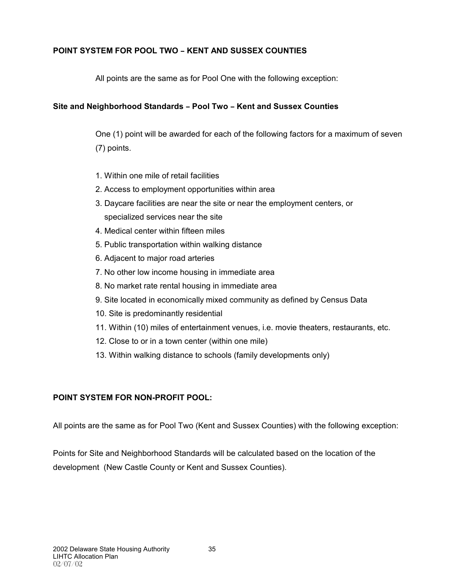# **POINT SYSTEM FOR POOL TWO - KENT AND SUSSEX COUNTIES**

All points are the same as for Pool One with the following exception:

# **Site and Neighborhood Standards - Pool Two - Kent and Sussex Counties**

One (1) point will be awarded for each of the following factors for a maximum of seven (7) points.

- 1. Within one mile of retail facilities
- 2. Access to employment opportunities within area
- 3. Daycare facilities are near the site or near the employment centers, or specialized services near the site
- 4. Medical center within fifteen miles
- 5. Public transportation within walking distance
- 6. Adjacent to major road arteries
- 7. No other low income housing in immediate area
- 8. No market rate rental housing in immediate area
- 9. Site located in economically mixed community as defined by Census Data
- 10. Site is predominantly residential
- 11. Within (10) miles of entertainment venues, i.e. movie theaters, restaurants, etc.
- 12. Close to or in a town center (within one mile)
- 13. Within walking distance to schools (family developments only)

# **POINT SYSTEM FOR NON-PROFIT POOL:**

All points are the same as for Pool Two (Kent and Sussex Counties) with the following exception:

Points for Site and Neighborhood Standards will be calculated based on the location of the development (New Castle County or Kent and Sussex Counties).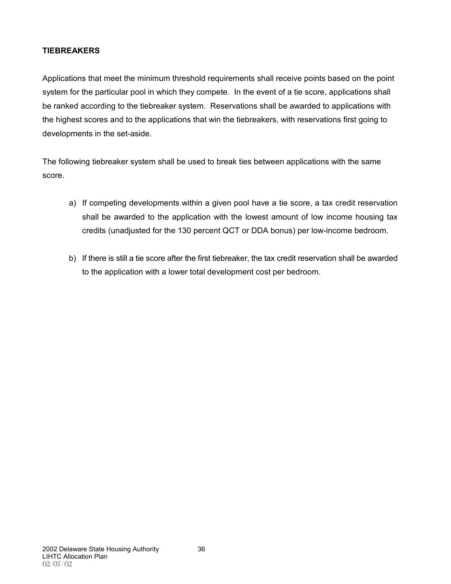# **TIEBREAKERS**

Applications that meet the minimum threshold requirements shall receive points based on the point system for the particular pool in which they compete. In the event of a tie score, applications shall be ranked according to the tiebreaker system. Reservations shall be awarded to applications with the highest scores and to the applications that win the tiebreakers, with reservations first going to developments in the set-aside.

The following tiebreaker system shall be used to break ties between applications with the same score.

- a) If competing developments within a given pool have a tie score, a tax credit reservation shall be awarded to the application with the lowest amount of low income housing tax credits (unadjusted for the 130 percent QCT or DDA bonus) per low-income bedroom.
- b) If there is still a tie score after the first tiebreaker, the tax credit reservation shall be awarded to the application with a lower total development cost per bedroom.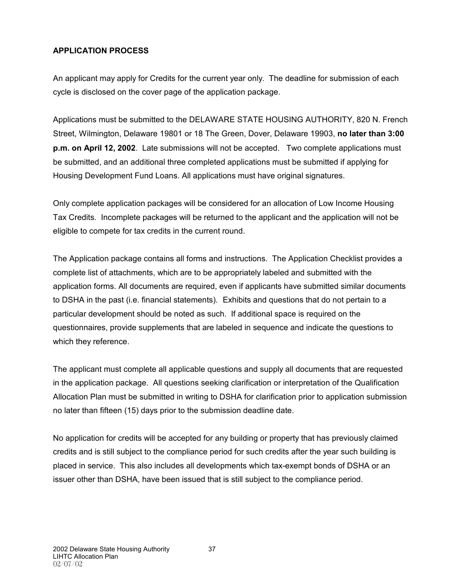# **APPLICATION PROCESS**

An applicant may apply for Credits for the current year only. The deadline for submission of each cycle is disclosed on the cover page of the application package.

Applications must be submitted to the DELAWARE STATE HOUSING AUTHORITY, 820 N. French Street, Wilmington, Delaware 19801 or 18 The Green, Dover, Delaware 19903, **no later than 3:00 p.m. on April 12, 2002**. Late submissions will not be accepted. Two complete applications must be submitted, and an additional three completed applications must be submitted if applying for Housing Development Fund Loans. All applications must have original signatures.

Only complete application packages will be considered for an allocation of Low Income Housing Tax Credits. Incomplete packages will be returned to the applicant and the application will not be eligible to compete for tax credits in the current round.

The Application package contains all forms and instructions. The Application Checklist provides a complete list of attachments, which are to be appropriately labeled and submitted with the application forms. All documents are required, even if applicants have submitted similar documents to DSHA in the past (i.e. financial statements). Exhibits and questions that do not pertain to a particular development should be noted as such. If additional space is required on the questionnaires, provide supplements that are labeled in sequence and indicate the questions to which they reference.

The applicant must complete all applicable questions and supply all documents that are requested in the application package. All questions seeking clarification or interpretation of the Qualification Allocation Plan must be submitted in writing to DSHA for clarification prior to application submission no later than fifteen (15) days prior to the submission deadline date.

No application for credits will be accepted for any building or property that has previously claimed credits and is still subject to the compliance period for such credits after the year such building is placed in service. This also includes all developments which tax-exempt bonds of DSHA or an issuer other than DSHA, have been issued that is still subject to the compliance period.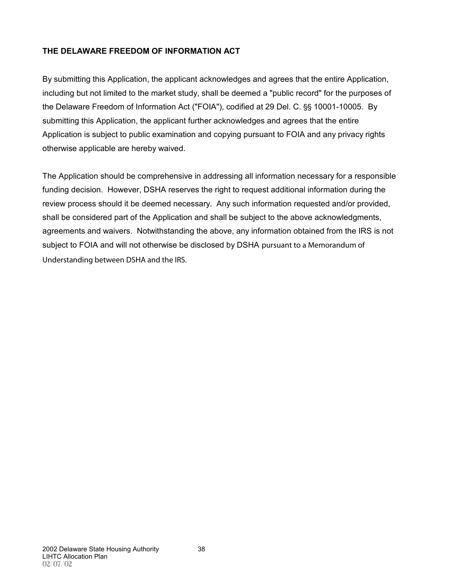# **THE DELAWARE FREEDOM OF INFORMATION ACT**

By submitting this Application, the applicant acknowledges and agrees that the entire Application, including but not limited to the market study, shall be deemed a "public record" for the purposes of the Delaware Freedom of Information Act ("FOIA"), codified at 29 Del. C. \$ \$10001-10005. By submitting this Application, the applicant further acknowledges and agrees that the entire Application is subject to public examination and copying pursuant to FOIA and any privacy rights otherwise applicable are hereby waived.

The Application should be comprehensive in addressing all information necessary for a responsible funding decision. However, DSHA reserves the right to request additional information during the review process should it be deemed necessary. Any such information requested and/or provided, shall be considered part of the Application and shall be subject to the above acknowledgments, agreements and waivers. Notwithstanding the above, any information obtained from the IRS is not subject to FOIA and will not otherwise be disclosed by DSHA pursuant to a Memorandum of Understanding between DSHA and the IRS.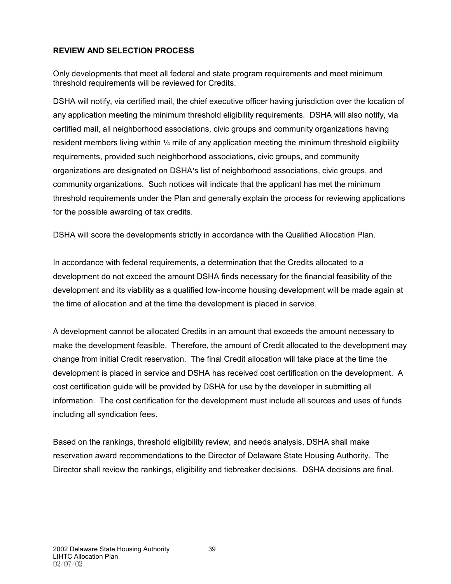# **REVIEW AND SELECTION PROCESS**

Only developments that meet all federal and state program requirements and meet minimum threshold requirements will be reviewed for Credits.

DSHA will notify, via certified mail, the chief executive officer having jurisdiction over the location of any application meeting the minimum threshold eligibility requirements. DSHA will also notify, via certified mail, all neighborhood associations, civic groups and community organizations having resident members living within  $\frac{1}{4}$  mile of any application meeting the minimum threshold eligibility requirements, provided such neighborhood associations, civic groups, and community organizations are designated on DSHA's list of neighborhood associations, civic groups, and community organizations. Such notices will indicate that the applicant has met the minimum threshold requirements under the Plan and generally explain the process for reviewing applications for the possible awarding of tax credits.

DSHA will score the developments strictly in accordance with the Qualified Allocation Plan.

In accordance with federal requirements, a determination that the Credits allocated to a development do not exceed the amount DSHA finds necessary for the financial feasibility of the development and its viability as a qualified low-income housing development will be made again at the time of allocation and at the time the development is placed in service.

A development cannot be allocated Credits in an amount that exceeds the amount necessary to make the development feasible. Therefore, the amount of Credit allocated to the development may change from initial Credit reservation. The final Credit allocation will take place at the time the development is placed in service and DSHA has received cost certification on the development. A cost certification guide will be provided by DSHA for use by the developer in submitting all information. The cost certification for the development must include all sources and uses of funds including all syndication fees.

Based on the rankings, threshold eligibility review, and needs analysis, DSHA shall make reservation award recommendations to the Director of Delaware State Housing Authority. The Director shall review the rankings, eligibility and tiebreaker decisions. DSHA decisions are final.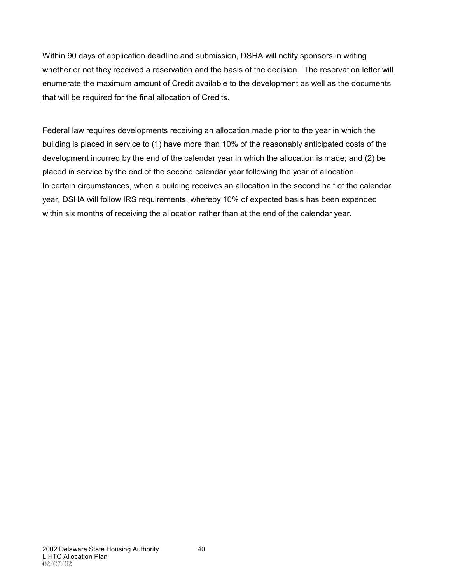Within 90 days of application deadline and submission, DSHA will notify sponsors in writing whether or not they received a reservation and the basis of the decision. The reservation letter will enumerate the maximum amount of Credit available to the development as well as the documents that will be required for the final allocation of Credits.

Federal law requires developments receiving an allocation made prior to the year in which the building is placed in service to (1) have more than 10% of the reasonably anticipated costs of the development incurred by the end of the calendar year in which the allocation is made; and (2) be placed in service by the end of the second calendar year following the year of allocation. In certain circumstances, when a building receives an allocation in the second half of the calendar year, DSHA will follow IRS requirements, whereby 10% of expected basis has been expended within six months of receiving the allocation rather than at the end of the calendar year.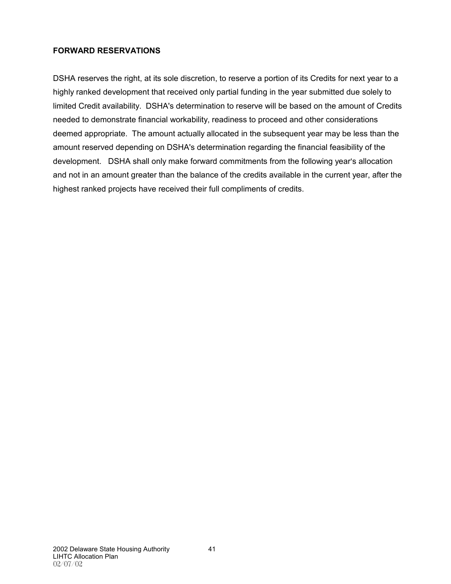### **FORWARD RESERVATIONS**

DSHA reserves the right, at its sole discretion, to reserve a portion of its Credits for next year to a highly ranked development that received only partial funding in the year submitted due solely to limited Credit availability. DSHA's determination to reserve will be based on the amount of Credits needed to demonstrate financial workability, readiness to proceed and other considerations deemed appropriate. The amount actually allocated in the subsequent year may be less than the amount reserved depending on DSHA's determination regarding the financial feasibility of the development. DSHA shall only make forward commitments from the following year's allocation and not in an amount greater than the balance of the credits available in the current year, after the highest ranked projects have received their full compliments of credits.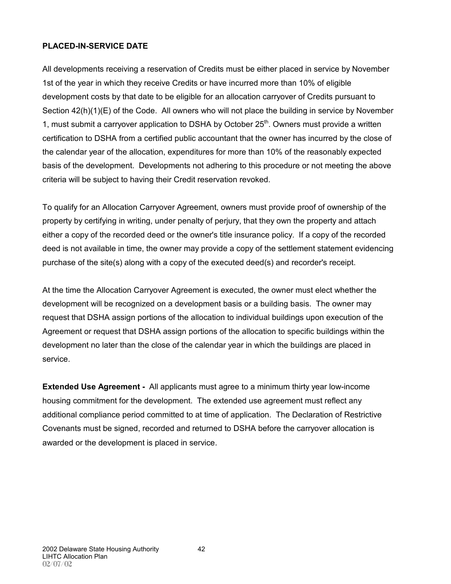#### **PLACED-IN-SERVICE DATE**

All developments receiving a reservation of Credits must be either placed in service by November 1st of the year in which they receive Credits or have incurred more than 10% of eligible development costs by that date to be eligible for an allocation carryover of Credits pursuant to Section 42(h)(1)(E) of the Code. All owners who will not place the building in service by November 1, must submit a carryover application to DSHA by October  $25<sup>th</sup>$ . Owners must provide a written certification to DSHA from a certified public accountant that the owner has incurred by the close of the calendar year of the allocation, expenditures for more than 10% of the reasonably expected basis of the development. Developments not adhering to this procedure or not meeting the above criteria will be subject to having their Credit reservation revoked.

To qualify for an Allocation Carryover Agreement, owners must provide proof of ownership of the property by certifying in writing, under penalty of perjury, that they own the property and attach either a copy of the recorded deed or the owner's title insurance policy. If a copy of the recorded deed is not available in time, the owner may provide a copy of the settlement statement evidencing purchase of the site(s) along with a copy of the executed deed(s) and recorder's receipt.

At the time the Allocation Carryover Agreement is executed, the owner must elect whether the development will be recognized on a development basis or a building basis. The owner may request that DSHA assign portions of the allocation to individual buildings upon execution of the Agreement or request that DSHA assign portions of the allocation to specific buildings within the development no later than the close of the calendar year in which the buildings are placed in service.

**Extended Use Agreement -** All applicants must agree to a minimum thirty year low-income housing commitment for the development. The extended use agreement must reflect any additional compliance period committed to at time of application. The Declaration of Restrictive Covenants must be signed, recorded and returned to DSHA before the carryover allocation is awarded or the development is placed in service.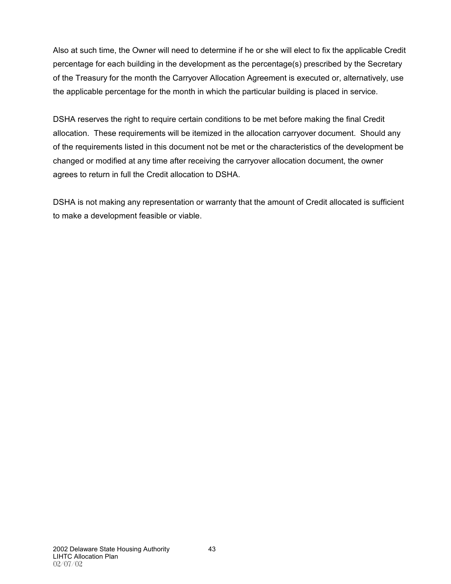Also at such time, the Owner will need to determine if he or she will elect to fix the applicable Credit percentage for each building in the development as the percentage(s) prescribed by the Secretary of the Treasury for the month the Carryover Allocation Agreement is executed or, alternatively, use the applicable percentage for the month in which the particular building is placed in service.

DSHA reserves the right to require certain conditions to be met before making the final Credit allocation. These requirements will be itemized in the allocation carryover document. Should any of the requirements listed in this document not be met or the characteristics of the development be changed or modified at any time after receiving the carryover allocation document, the owner agrees to return in full the Credit allocation to DSHA.

DSHA is not making any representation or warranty that the amount of Credit allocated is sufficient to make a development feasible or viable.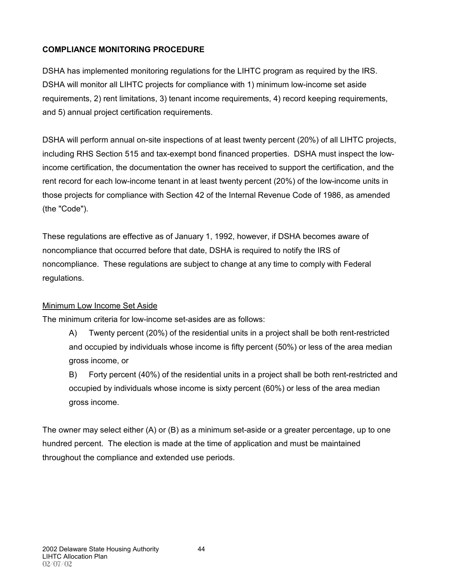# **COMPLIANCE MONITORING PROCEDURE**

DSHA has implemented monitoring regulations for the LIHTC program as required by the IRS. DSHA will monitor all LIHTC projects for compliance with 1) minimum low-income set aside requirements, 2) rent limitations, 3) tenant income requirements, 4) record keeping requirements, and 5) annual project certification requirements.

DSHA will perform annual on-site inspections of at least twenty percent (20%) of all LIHTC projects, including RHS Section 515 and tax-exempt bond financed properties. DSHA must inspect the lowincome certification, the documentation the owner has received to support the certification, and the rent record for each low-income tenant in at least twenty percent (20%) of the low-income units in those projects for compliance with Section 42 of the Internal Revenue Code of 1986, as amended (the "Code").

These regulations are effective as of January 1, 1992, however, if DSHA becomes aware of noncompliance that occurred before that date, DSHA is required to notify the IRS of noncompliance. These regulations are subject to change at any time to comply with Federal regulations.

# Minimum Low Income Set Aside

The minimum criteria for low-income set-asides are as follows:

A) Twenty percent (20%) of the residential units in a project shall be both rent-restricted and occupied by individuals whose income is fifty percent (50%) or less of the area median gross income, or

B) Forty percent (40%) of the residential units in a project shall be both rent-restricted and occupied by individuals whose income is sixty percent (60%) or less of the area median gross income.

The owner may select either (A) or (B) as a minimum set-aside or a greater percentage, up to one hundred percent. The election is made at the time of application and must be maintained throughout the compliance and extended use periods.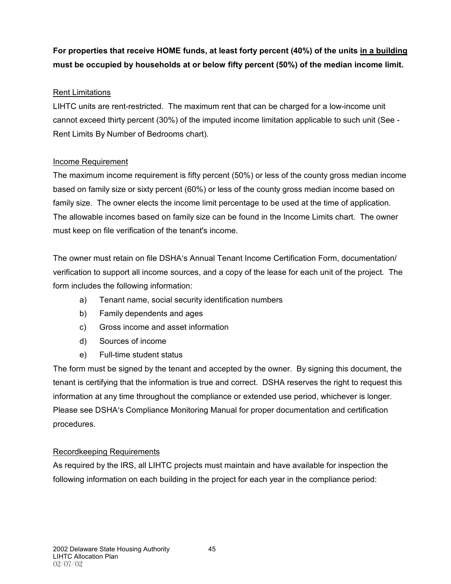# **For properties that receive HOME funds, at least forty percent (40%) of the units in a building must be occupied by households at or below fifty percent (50%) of the median income limit.**

# Rent Limitations

LIHTC units are rent-restricted. The maximum rent that can be charged for a low-income unit cannot exceed thirty percent (30%) of the imputed income limitation applicable to such unit (See - Rent Limits By Number of Bedrooms chart).

### Income Requirement

The maximum income requirement is fifty percent (50%) or less of the county gross median income based on family size or sixty percent (60%) or less of the county gross median income based on family size. The owner elects the income limit percentage to be used at the time of application. The allowable incomes based on family size can be found in the Income Limits chart. The owner must keep on file verification of the tenant's income.

The owner must retain on file DSHA's Annual Tenant Income Certification Form, documentation/ verification to support all income sources, and a copy of the lease for each unit of the project. The form includes the following information:

- a) Tenant name, social security identification numbers
- b) Family dependents and ages
- c) Gross income and asset information
- d) Sources of income
- e) Full-time student status

The form must be signed by the tenant and accepted by the owner. By signing this document, the tenant is certifying that the information is true and correct. DSHA reserves the right to request this information at any time throughout the compliance or extended use period, whichever is longer. Please see DSHA's Compliance Monitoring Manual for proper documentation and certification procedures.

# Recordkeeping Requirements

As required by the IRS, all LIHTC projects must maintain and have available for inspection the following information on each building in the project for each year in the compliance period: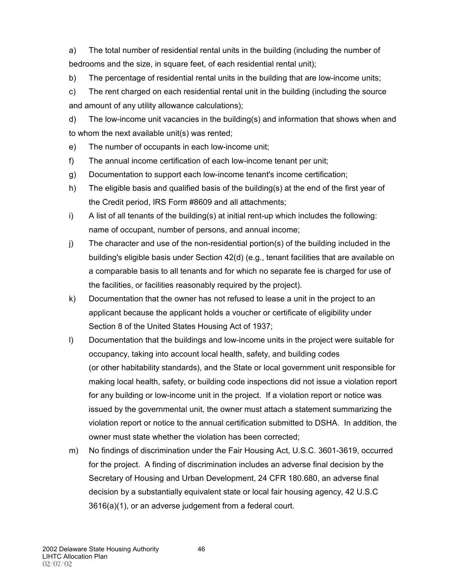a) The total number of residential rental units in the building (including the number of bedrooms and the size, in square feet, of each residential rental unit);

b) The percentage of residential rental units in the building that are low-income units;

c) The rent charged on each residential rental unit in the building (including the source and amount of any utility allowance calculations);

d) The low-income unit vacancies in the building(s) and information that shows when and to whom the next available unit(s) was rented;

e) The number of occupants in each low-income unit;

- f) The annual income certification of each low-income tenant per unit;
- g) Documentation to support each low-income tenant's income certification;
- h) The eligible basis and qualified basis of the building(s) at the end of the first year of the Credit period, IRS Form #8609 and all attachments;
- i) A list of all tenants of the building(s) at initial rent-up which includes the following: name of occupant, number of persons, and annual income;
- j) The character and use of the non-residential portion(s) of the building included in the building's eligible basis under Section 42(d) (e.g., tenant facilities that are available on a comparable basis to all tenants and for which no separate fee is charged for use of the facilities, or facilities reasonably required by the project).
- k) Documentation that the owner has not refused to lease a unit in the project to an applicant because the applicant holds a voucher or certificate of eligibility under Section 8 of the United States Housing Act of 1937;
- l) Documentation that the buildings and low-income units in the project were suitable for occupancy, taking into account local health, safety, and building codes (or other habitability standards), and the State or local government unit responsible for making local health, safety, or building code inspections did not issue a violation report for any building or low-income unit in the project. If a violation report or notice was issued by the governmental unit, the owner must attach a statement summarizing the violation report or notice to the annual certification submitted to DSHA. In addition, the owner must state whether the violation has been corrected;
- m) No findings of discrimination under the Fair Housing Act, U.S.C. 3601-3619, occurred for the project. A finding of discrimination includes an adverse final decision by the Secretary of Housing and Urban Development, 24 CFR 180.680, an adverse final decision by a substantially equivalent state or local fair housing agency, 42 U.S.C 3616(a)(1), or an adverse judgement from a federal court.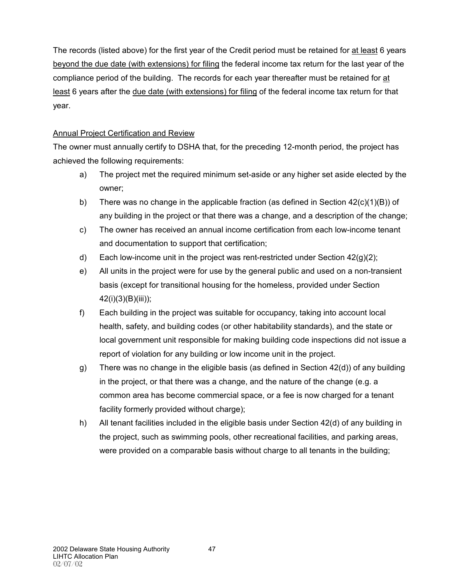The records (listed above) for the first year of the Credit period must be retained for at least 6 years beyond the due date (with extensions) for filing the federal income tax return for the last year of the compliance period of the building. The records for each year thereafter must be retained for at least 6 years after the due date (with extensions) for filing of the federal income tax return for that year.

# Annual Project Certification and Review

The owner must annually certify to DSHA that, for the preceding 12-month period, the project has achieved the following requirements:

- a) The project met the required minimum set-aside or any higher set aside elected by the owner;
- b) There was no change in the applicable fraction (as defined in Section  $42(c)(1)(B)$ ) of any building in the project or that there was a change, and a description of the change;
- c) The owner has received an annual income certification from each low-income tenant and documentation to support that certification;
- d) Each low-income unit in the project was rent-restricted under Section  $42(q)(2)$ ;
- e) All units in the project were for use by the general public and used on a non-transient basis (except for transitional housing for the homeless, provided under Section 42(i)(3)(B)(iii));
- f) Each building in the project was suitable for occupancy, taking into account local health, safety, and building codes (or other habitability standards), and the state or local government unit responsible for making building code inspections did not issue a report of violation for any building or low income unit in the project.
- g) There was no change in the eligible basis (as defined in Section 42(d)) of any building in the project, or that there was a change, and the nature of the change (e.g. a common area has become commercial space, or a fee is now charged for a tenant facility formerly provided without charge);
- h) All tenant facilities included in the eligible basis under Section 42(d) of any building in the project, such as swimming pools, other recreational facilities, and parking areas, were provided on a comparable basis without charge to all tenants in the building;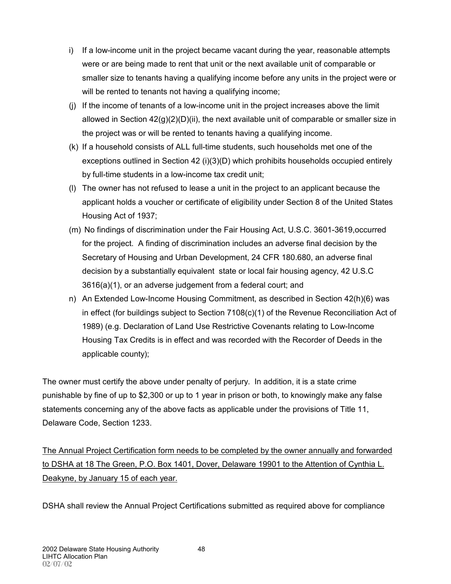- i) If a low-income unit in the project became vacant during the year, reasonable attempts were or are being made to rent that unit or the next available unit of comparable or smaller size to tenants having a qualifying income before any units in the project were or will be rented to tenants not having a qualifying income;
- (j) If the income of tenants of a low-income unit in the project increases above the limit allowed in Section  $42(q)(2)(D)(ii)$ , the next available unit of comparable or smaller size in the project was or will be rented to tenants having a qualifying income.
- (k) If a household consists of ALL full-time students, such households met one of the exceptions outlined in Section 42  $(i)(3)(D)$  which prohibits households occupied entirely by full-time students in a low-income tax credit unit;
- (l) The owner has not refused to lease a unit in the project to an applicant because the applicant holds a voucher or certificate of eligibility under Section 8 of the United States Housing Act of 1937;
- (m) No findings of discrimination under the Fair Housing Act, U.S.C. 3601-3619,occurred for the project. A finding of discrimination includes an adverse final decision by the Secretary of Housing and Urban Development, 24 CFR 180.680, an adverse final decision by a substantially equivalent state or local fair housing agency, 42 U.S.C 3616(a)(1), or an adverse judgement from a federal court; and
- n) An Extended Low-Income Housing Commitment, as described in Section 42(h)(6) was in effect (for buildings subject to Section 7108(c)(1) of the Revenue Reconciliation Act of 1989) (e.g. Declaration of Land Use Restrictive Covenants relating to Low-Income Housing Tax Credits is in effect and was recorded with the Recorder of Deeds in the applicable county);

The owner must certify the above under penalty of perjury. In addition, it is a state crime punishable by fine of up to \$2,300 or up to 1 year in prison or both, to knowingly make any false statements concerning any of the above facts as applicable under the provisions of Title 11, Delaware Code, Section 1233.

The Annual Project Certification form needs to be completed by the owner annually and forwarded to DSHA at 18 The Green, P.O. Box 1401, Dover, Delaware 19901 to the Attention of Cynthia L. Deakyne, by January 15 of each year.

DSHA shall review the Annual Project Certifications submitted as required above for compliance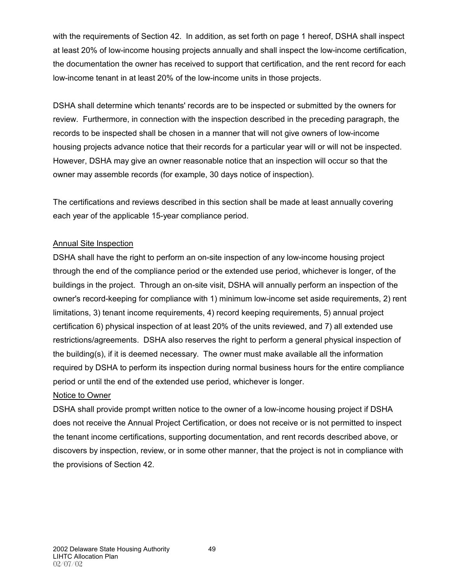with the requirements of Section 42. In addition, as set forth on page 1 hereof, DSHA shall inspect at least 20% of low-income housing projects annually and shall inspect the low-income certification, the documentation the owner has received to support that certification, and the rent record for each low-income tenant in at least 20% of the low-income units in those projects.

DSHA shall determine which tenants' records are to be inspected or submitted by the owners for review. Furthermore, in connection with the inspection described in the preceding paragraph, the records to be inspected shall be chosen in a manner that will not give owners of low-income housing projects advance notice that their records for a particular year will or will not be inspected. However, DSHA may give an owner reasonable notice that an inspection will occur so that the owner may assemble records (for example, 30 days notice of inspection).

The certifications and reviews described in this section shall be made at least annually covering each year of the applicable 15-year compliance period.

# Annual Site Inspection

DSHA shall have the right to perform an on-site inspection of any low-income housing project through the end of the compliance period or the extended use period, whichever is longer, of the buildings in the project. Through an on-site visit, DSHA will annually perform an inspection of the owner's record-keeping for compliance with 1) minimum low-income set aside requirements, 2) rent limitations, 3) tenant income requirements, 4) record keeping requirements, 5) annual project certification 6) physical inspection of at least 20% of the units reviewed, and 7) all extended use restrictions/agreements. DSHA also reserves the right to perform a general physical inspection of the building(s), if it is deemed necessary. The owner must make available all the information required by DSHA to perform its inspection during normal business hours for the entire compliance period or until the end of the extended use period, whichever is longer.

#### Notice to Owner

DSHA shall provide prompt written notice to the owner of a low-income housing project if DSHA does not receive the Annual Project Certification, or does not receive or is not permitted to inspect the tenant income certifications, supporting documentation, and rent records described above, or discovers by inspection, review, or in some other manner, that the project is not in compliance with the provisions of Section 42.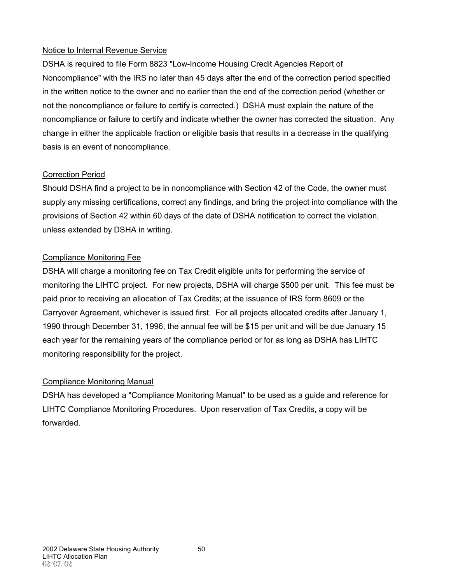# Notice to Internal Revenue Service

DSHA is required to file Form 8823 "Low-Income Housing Credit Agencies Report of Noncompliance" with the IRS no later than 45 days after the end of the correction period specified in the written notice to the owner and no earlier than the end of the correction period (whether or not the noncompliance or failure to certify is corrected.) DSHA must explain the nature of the noncompliance or failure to certify and indicate whether the owner has corrected the situation. Any change in either the applicable fraction or eligible basis that results in a decrease in the qualifying basis is an event of noncompliance.

# Correction Period

Should DSHA find a project to be in noncompliance with Section 42 of the Code, the owner must supply any missing certifications, correct any findings, and bring the project into compliance with the provisions of Section 42 within 60 days of the date of DSHA notification to correct the violation, unless extended by DSHA in writing.

# Compliance Monitoring Fee

DSHA will charge a monitoring fee on Tax Credit eligible units for performing the service of monitoring the LIHTC project. For new projects, DSHA will charge \$500 per unit. This fee must be paid prior to receiving an allocation of Tax Credits; at the issuance of IRS form 8609 or the Carryover Agreement, whichever is issued first. For all projects allocated credits after January 1, 1990 through December 31, 1996, the annual fee will be \$15 per unit and will be due January 15 each year for the remaining years of the compliance period or for as long as DSHA has LIHTC monitoring responsibility for the project.

# Compliance Monitoring Manual

DSHA has developed a "Compliance Monitoring Manual" to be used as a guide and reference for LIHTC Compliance Monitoring Procedures. Upon reservation of Tax Credits, a copy will be forwarded.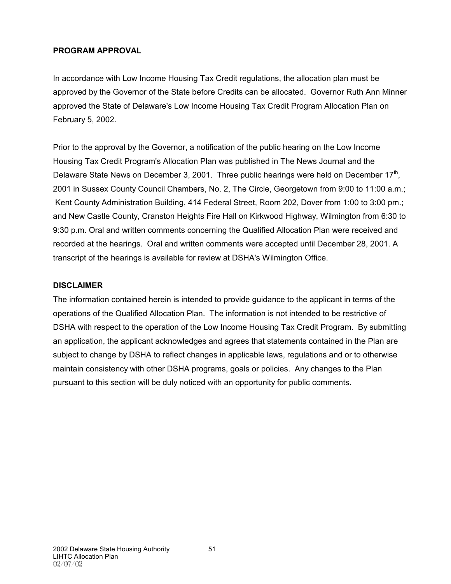# **PROGRAM APPROVAL**

In accordance with Low Income Housing Tax Credit regulations, the allocation plan must be approved by the Governor of the State before Credits can be allocated. Governor Ruth Ann Minner approved the State of Delaware's Low Income Housing Tax Credit Program Allocation Plan on February 5, 2002.

Prior to the approval by the Governor, a notification of the public hearing on the Low Income Housing Tax Credit Program's Allocation Plan was published in The News Journal and the Delaware State News on December 3, 2001. Three public hearings were held on December 17<sup>th</sup>, 2001 in Sussex County Council Chambers, No. 2, The Circle, Georgetown from 9:00 to 11:00 a.m.; Kent County Administration Building, 414 Federal Street, Room 202, Dover from 1:00 to 3:00 pm.; and New Castle County, Cranston Heights Fire Hall on Kirkwood Highway, Wilmington from 6:30 to 9:30 p.m. Oral and written comments concerning the Qualified Allocation Plan were received and recorded at the hearings. Oral and written comments were accepted until December 28, 2001. A transcript of the hearings is available for review at DSHA's Wilmington Office.

# **DISCLAIMER**

The information contained herein is intended to provide guidance to the applicant in terms of the operations of the Qualified Allocation Plan. The information is not intended to be restrictive of DSHA with respect to the operation of the Low Income Housing Tax Credit Program. By submitting an application, the applicant acknowledges and agrees that statements contained in the Plan are subject to change by DSHA to reflect changes in applicable laws, regulations and or to otherwise maintain consistency with other DSHA programs, goals or policies. Any changes to the Plan pursuant to this section will be duly noticed with an opportunity for public comments.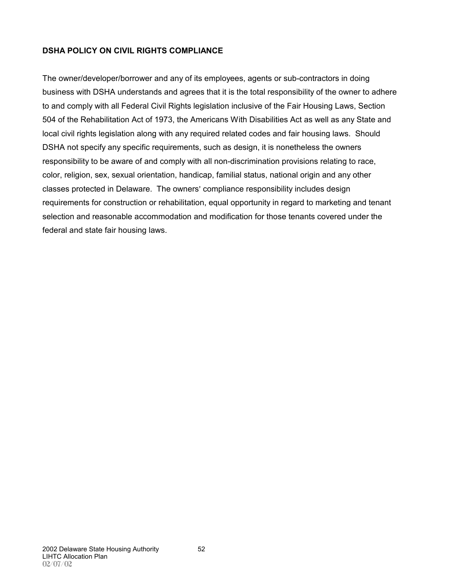# **DSHA POLICY ON CIVIL RIGHTS COMPLIANCE**

The owner/developer/borrower and any of its employees, agents or sub-contractors in doing business with DSHA understands and agrees that it is the total responsibility of the owner to adhere to and comply with all Federal Civil Rights legislation inclusive of the Fair Housing Laws, Section 504 of the Rehabilitation Act of 1973, the Americans With Disabilities Act as well as any State and local civil rights legislation along with any required related codes and fair housing laws. Should DSHA not specify any specific requirements, such as design, it is nonetheless the owners responsibility to be aware of and comply with all non-discrimination provisions relating to race, color, religion, sex, sexual orientation, handicap, familial status, national origin and any other classes protected in Delaware. The owners' compliance responsibility includes design requirements for construction or rehabilitation, equal opportunity in regard to marketing and tenant selection and reasonable accommodation and modification for those tenants covered under the federal and state fair housing laws.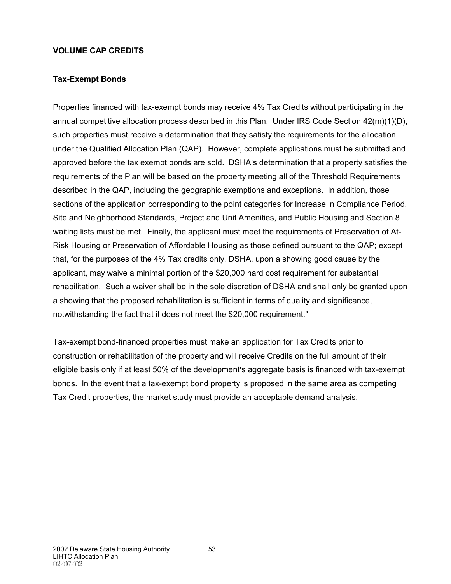#### **VOLUME CAP CREDITS**

#### **Tax-Exempt Bonds**

Properties financed with tax-exempt bonds may receive 4% Tax Credits without participating in the annual competitive allocation process described in this Plan. Under IRS Code Section 42(m)(1)(D), such properties must receive a determination that they satisfy the requirements for the allocation under the Qualified Allocation Plan (QAP). However, complete applications must be submitted and approved before the tax exempt bonds are sold. DSHA's determination that a property satisfies the requirements of the Plan will be based on the property meeting all of the Threshold Requirements described in the QAP, including the geographic exemptions and exceptions. In addition, those sections of the application corresponding to the point categories for Increase in Compliance Period, Site and Neighborhood Standards, Project and Unit Amenities, and Public Housing and Section 8 waiting lists must be met. Finally, the applicant must meet the requirements of Preservation of At-Risk Housing or Preservation of Affordable Housing as those defined pursuant to the QAP; except that, for the purposes of the 4% Tax credits only, DSHA, upon a showing good cause by the applicant, may waive a minimal portion of the \$20,000 hard cost requirement for substantial rehabilitation. Such a waiver shall be in the sole discretion of DSHA and shall only be granted upon a showing that the proposed rehabilitation is sufficient in terms of quality and significance, notwithstanding the fact that it does not meet the \$20,000 requirement."

Tax-exempt bond-financed properties must make an application for Tax Credits prior to construction or rehabilitation of the property and will receive Credits on the full amount of their eligible basis only if at least 50% of the development's aggregate basis is financed with tax-exempt bonds. In the event that a tax-exempt bond property is proposed in the same area as competing Tax Credit properties, the market study must provide an acceptable demand analysis.